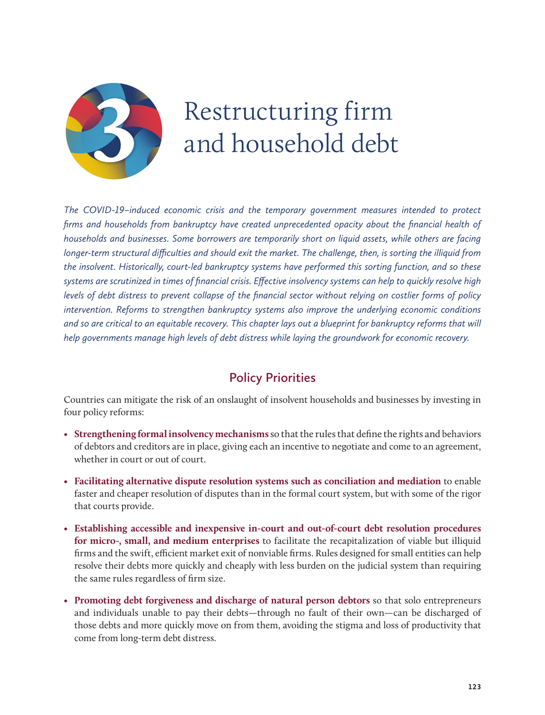

# Restructuring firm and household debt

*The COVID-19–induced economic crisis and the temporary government measures intended to protect firms and households from bankruptcy have created unprecedented opacity about the financial health of households and businesses. Some borrowers are temporarily short on liquid assets, while others are facing longer-term structural difficulties and should exit the market. The challenge, then, is sorting the illiquid from the insolvent. Historically, court-led bankruptcy systems have performed this sorting function, and so these systems are scrutinized in times of financial crisis. Effective insolvency systems can help to quickly resolve high levels of debt distress to prevent collapse of the financial sector without relying on costlier forms of policy intervention. Reforms to strengthen bankruptcy systems also improve the underlying economic conditions*  and so are critical to an equitable recovery. This chapter lays out a blueprint for bankruptcy reforms that will *help governments manage high levels of debt distress while laying the groundwork for economic recovery.*

## **Policy Priorities**

Countries can mitigate the risk of an onslaught of insolvent households and businesses by investing in four policy reforms:

- **Strengthening formal insolvency mechanisms**so that the rules that define the rights and behaviors of debtors and creditors are in place, giving each an incentive to negotiate and come to an agreement, whether in court or out of court.
- • **Facilitating alternative dispute resolution systems such as conciliation and mediation** to enable faster and cheaper resolution of disputes than in the formal court system, but with some of the rigor that courts provide.
- **Establishing accessible and inexpensive in-court and out-of-court debt resolution procedures for micro-, small, and medium enterprises** to facilitate the recapitalization of viable but illiquid firms and the swift, efficient market exit of nonviable firms. Rules designed for small entities can help resolve their debts more quickly and cheaply with less burden on the judicial system than requiring the same rules regardless of firm size.
- • **Promoting debt forgiveness and discharge of natural person debtors** so that solo entrepreneurs and individuals unable to pay their debts—through no fault of their own—can be discharged of those debts and more quickly move on from them, avoiding the stigma and loss of productivity that come from long-term debt distress.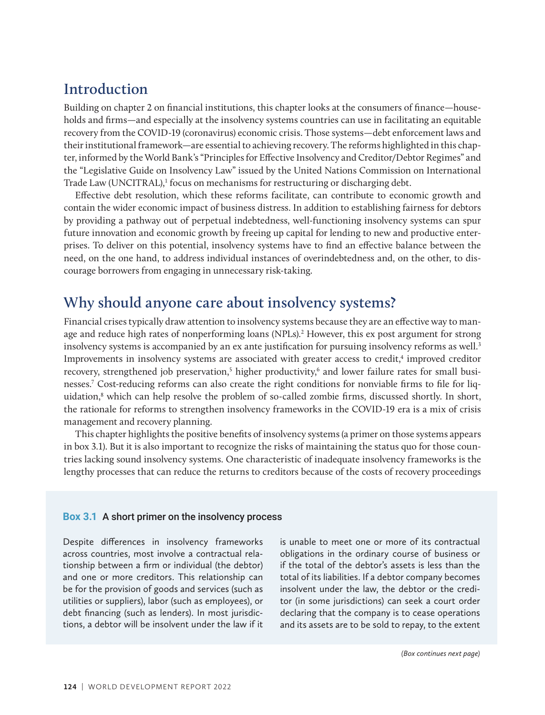# **Introduction**

Building on chapter 2 on financial institutions, this chapter looks at the consumers of finance—households and firms—and especially at the insolvency systems countries can use in facilitating an equitable recovery from the COVID-19 (coronavirus) economic crisis. Those systems—debt enforcement laws and their institutional framework—are essential to achieving recovery. The reforms highlighted in this chapter, informed by the World Bank's "Principles for Effective Insolvency and Creditor/Debtor Regimes" and the "Legislative Guide on Insolvency Law" issued by the United Nations Commission on International Trade Law (UNCITRAL),<sup>1</sup> focus on mechanisms for restructuring or discharging debt.

Effective debt resolution, which these reforms facilitate, can contribute to economic growth and contain the wider economic impact of business distress. In addition to establishing fairness for debtors by providing a pathway out of perpetual indebtedness, well-functioning insolvency systems can spur future innovation and economic growth by freeing up capital for lending to new and productive enterprises. To deliver on this potential, insolvency systems have to find an effective balance between the need, on the one hand, to address individual instances of overindebtedness and, on the other, to discourage borrowers from engaging in unnecessary risk-taking.

# **Why should anyone care about insolvency systems?**

Financial crises typically draw attention to insolvency systems because they are an effective way to manage and reduce high rates of nonperforming loans (NPLs).<sup>2</sup> However, this ex post argument for strong insolvency systems is accompanied by an ex ante justification for pursuing insolvency reforms as well.<sup>3</sup> Improvements in insolvency systems are associated with greater access to credit,<sup>4</sup> improved creditor recovery, strengthened job preservation,<sup>5</sup> higher productivity,<sup>6</sup> and lower failure rates for small businesses.7 Cost-reducing reforms can also create the right conditions for nonviable firms to file for liquidation,8 which can help resolve the problem of so-called zombie firms, discussed shortly. In short, the rationale for reforms to strengthen insolvency frameworks in the COVID-19 era is a mix of crisis management and recovery planning.

This chapter highlights the positive benefits of insolvency systems (a primer on those systems appears in box 3.1). But it is also important to recognize the risks of maintaining the status quo for those countries lacking sound insolvency systems. One characteristic of inadequate insolvency frameworks is the lengthy processes that can reduce the returns to creditors because of the costs of recovery proceedings

#### **Box 3.1** A short primer on the insolvency process

Despite differences in insolvency frameworks across countries, most involve a contractual relationship between a firm or individual (the debtor) and one or more creditors. This relationship can be for the provision of goods and services (such as utilities or suppliers), labor (such as employees), or debt financing (such as lenders). In most jurisdictions, a debtor will be insolvent under the law if it is unable to meet one or more of its contractual obligations in the ordinary course of business or if the total of the debtor's assets is less than the total of its liabilities. If a debtor company becomes insolvent under the law, the debtor or the creditor (in some jurisdictions) can seek a court order declaring that the company is to cease operations and its assets are to be sold to repay, to the extent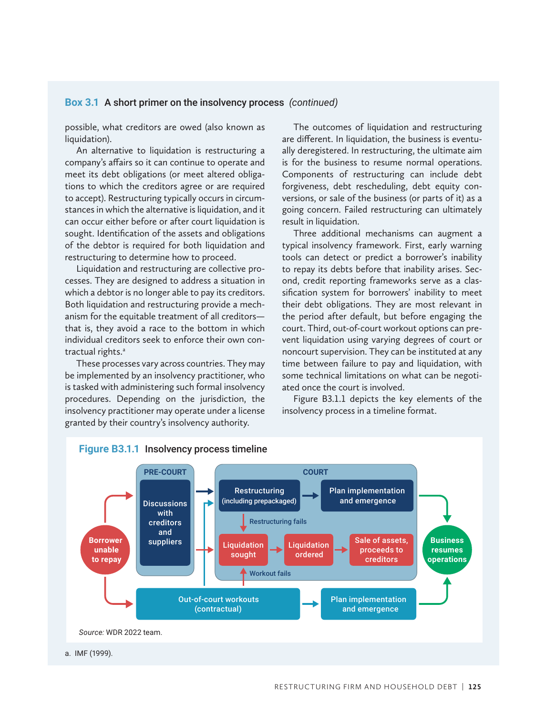#### **Box 3.1** A short primer on the insolvency process *(continued)*

possible, what creditors are owed (also known as liquidation).

An alternative to liquidation is restructuring a company's affairs so it can continue to operate and meet its debt obligations (or meet altered obligations to which the creditors agree or are required to accept). Restructuring typically occurs in circumstances in which the alternative is liquidation, and it can occur either before or after court liquidation is sought. Identification of the assets and obligations of the debtor is required for both liquidation and restructuring to determine how to proceed.

Liquidation and restructuring are collective processes. They are designed to address a situation in which a debtor is no longer able to pay its creditors. Both liquidation and restructuring provide a mechanism for the equitable treatment of all creditors that is, they avoid a race to the bottom in which individual creditors seek to enforce their own contractual rights.<sup>a</sup>

These processes vary across countries. They may be implemented by an insolvency practitioner, who is tasked with administering such formal insolvency procedures. Depending on the jurisdiction, the insolvency practitioner may operate under a license granted by their country's insolvency authority.

The outcomes of liquidation and restructuring are different. In liquidation, the business is eventually deregistered. In restructuring, the ultimate aim is for the business to resume normal operations. Components of restructuring can include debt forgiveness, debt rescheduling, debt equity conversions, or sale of the business (or parts of it) as a going concern. Failed restructuring can ultimately result in liquidation.

Three additional mechanisms can augment a typical insolvency framework. First, early warning tools can detect or predict a borrower's inability to repay its debts before that inability arises. Second, credit reporting frameworks serve as a classification system for borrowers' inability to meet their debt obligations. They are most relevant in the period after default, but before engaging the court. Third, out-of-court workout options can prevent liquidation using varying degrees of court or noncourt supervision. They can be instituted at any time between failure to pay and liquidation, with some technical limitations on what can be negotiated once the court is involved.

Figure B3.1.1 depicts the key elements of the insolvency process in a timeline format.



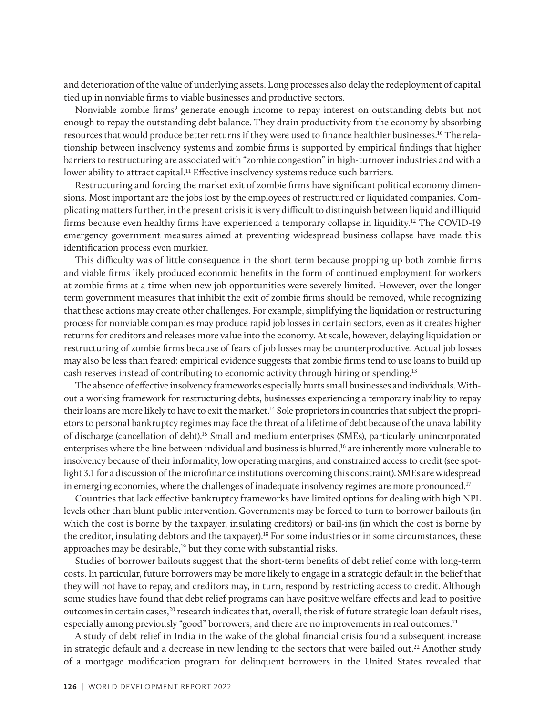and deterioration of the value of underlying assets. Long processes also delay the redeployment of capital tied up in nonviable firms to viable businesses and productive sectors.

Nonviable zombie firms<sup>9</sup> generate enough income to repay interest on outstanding debts but not enough to repay the outstanding debt balance. They drain productivity from the economy by absorbing resources that would produce better returns if they were used to finance healthier businesses.10 The relationship between insolvency systems and zombie firms is supported by empirical findings that higher barriers to restructuring are associated with "zombie congestion" in high-turnover industries and with a lower ability to attract capital.<sup>11</sup> Effective insolvency systems reduce such barriers.

Restructuring and forcing the market exit of zombie firms have significant political economy dimensions. Most important are the jobs lost by the employees of restructured or liquidated companies. Complicating matters further, in the present crisis it is very difficult to distinguish between liquid and illiquid firms because even healthy firms have experienced a temporary collapse in liquidity.12 The COVID-19 emergency government measures aimed at preventing widespread business collapse have made this identification process even murkier.

This difficulty was of little consequence in the short term because propping up both zombie firms and viable firms likely produced economic benefits in the form of continued employment for workers at zombie firms at a time when new job opportunities were severely limited. However, over the longer term government measures that inhibit the exit of zombie firms should be removed, while recognizing that these actions may create other challenges. For example, simplifying the liquidation or restructuring process for nonviable companies may produce rapid job losses in certain sectors, even as it creates higher returns for creditors and releases more value into the economy. At scale, however, delaying liquidation or restructuring of zombie firms because of fears of job losses may be counterproductive. Actual job losses may also be less than feared: empirical evidence suggests that zombie firms tend to use loans to build up cash reserves instead of contributing to economic activity through hiring or spending.<sup>13</sup>

The absence of effective insolvency frameworks especially hurts small businesses and individuals. Without a working framework for restructuring debts, businesses experiencing a temporary inability to repay their loans are more likely to have to exit the market.<sup>14</sup> Sole proprietors in countries that subject the proprietors to personal bankruptcy regimes may face the threat of a lifetime of debt because of the unavailability of discharge (cancellation of debt).15 Small and medium enterprises (SMEs), particularly unincorporated enterprises where the line between individual and business is blurred,<sup>16</sup> are inherently more vulnerable to insolvency because of their informality, low operating margins, and constrained access to credit (see spotlight 3.1 for a discussion of the microfinance institutions overcoming this constraint). SMEs are widespread in emerging economies, where the challenges of inadequate insolvency regimes are more pronounced.<sup>17</sup>

Countries that lack effective bankruptcy frameworks have limited options for dealing with high NPL levels other than blunt public intervention. Governments may be forced to turn to borrower bailouts (in which the cost is borne by the taxpayer, insulating creditors) or bail-ins (in which the cost is borne by the creditor, insulating debtors and the taxpayer).18 For some industries or in some circumstances, these approaches may be desirable,<sup>19</sup> but they come with substantial risks.

Studies of borrower bailouts suggest that the short-term benefits of debt relief come with long-term costs. In particular, future borrowers may be more likely to engage in a strategic default in the belief that they will not have to repay, and creditors may, in turn, respond by restricting access to credit. Although some studies have found that debt relief programs can have positive welfare effects and lead to positive outcomes in certain cases,<sup>20</sup> research indicates that, overall, the risk of future strategic loan default rises, especially among previously "good" borrowers, and there are no improvements in real outcomes.<sup>21</sup>

A study of debt relief in India in the wake of the global financial crisis found a subsequent increase in strategic default and a decrease in new lending to the sectors that were bailed out.<sup>22</sup> Another study of a mortgage modification program for delinquent borrowers in the United States revealed that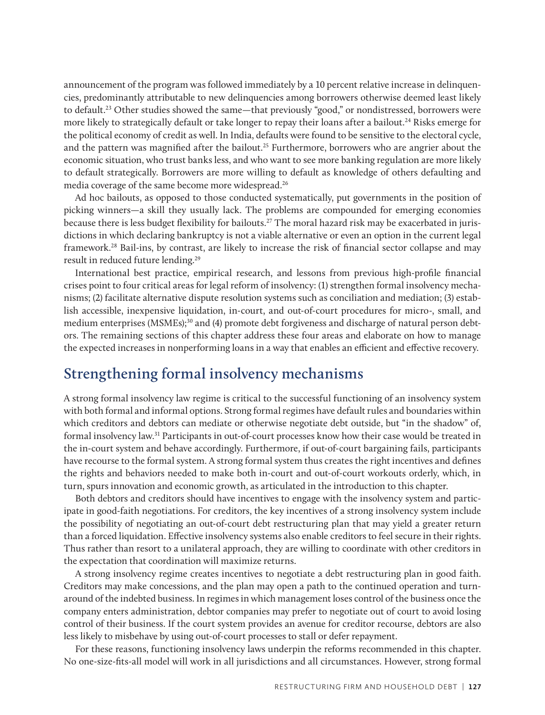announcement of the program was followed immediately by a 10 percent relative increase in delinquencies, predominantly attributable to new delinquencies among borrowers otherwise deemed least likely to default.<sup>23</sup> Other studies showed the same—that previously "good," or nondistressed, borrowers were more likely to strategically default or take longer to repay their loans after a bailout.<sup>24</sup> Risks emerge for the political economy of credit as well. In India, defaults were found to be sensitive to the electoral cycle, and the pattern was magnified after the bailout.<sup>25</sup> Furthermore, borrowers who are angrier about the economic situation, who trust banks less, and who want to see more banking regulation are more likely to default strategically. Borrowers are more willing to default as knowledge of others defaulting and media coverage of the same become more widespread.26

Ad hoc bailouts, as opposed to those conducted systematically, put governments in the position of picking winners—a skill they usually lack. The problems are compounded for emerging economies because there is less budget flexibility for bailouts.27 The moral hazard risk may be exacerbated in jurisdictions in which declaring bankruptcy is not a viable alternative or even an option in the current legal framework.28 Bail-ins, by contrast, are likely to increase the risk of financial sector collapse and may result in reduced future lending.<sup>29</sup>

International best practice, empirical research, and lessons from previous high-profile financial crises point to four critical areas for legal reform of insolvency: (1) strengthen formal insolvency mechanisms; (2) facilitate alternative dispute resolution systems such as conciliation and mediation; (3) establish accessible, inexpensive liquidation, in-court, and out-of-court procedures for micro-, small, and medium enterprises (MSMEs);<sup>30</sup> and (4) promote debt forgiveness and discharge of natural person debtors. The remaining sections of this chapter address these four areas and elaborate on how to manage the expected increases in nonperforming loans in a way that enables an efficient and effective recovery.

## **Strengthening formal insolvency mechanisms**

A strong formal insolvency law regime is critical to the successful functioning of an insolvency system with both formal and informal options. Strong formal regimes have default rules and boundaries within which creditors and debtors can mediate or otherwise negotiate debt outside, but "in the shadow" of, formal insolvency law.31 Participants in out-of-court processes know how their case would be treated in the in-court system and behave accordingly. Furthermore, if out-of-court bargaining fails, participants have recourse to the formal system. A strong formal system thus creates the right incentives and defines the rights and behaviors needed to make both in-court and out-of-court workouts orderly, which, in turn, spurs innovation and economic growth, as articulated in the introduction to this chapter.

Both debtors and creditors should have incentives to engage with the insolvency system and participate in good-faith negotiations. For creditors, the key incentives of a strong insolvency system include the possibility of negotiating an out-of-court debt restructuring plan that may yield a greater return than a forced liquidation. Effective insolvency systems also enable creditors to feel secure in their rights. Thus rather than resort to a unilateral approach, they are willing to coordinate with other creditors in the expectation that coordination will maximize returns.

A strong insolvency regime creates incentives to negotiate a debt restructuring plan in good faith. Creditors may make concessions, and the plan may open a path to the continued operation and turnaround of the indebted business. In regimes in which management loses control of the business once the company enters administration, debtor companies may prefer to negotiate out of court to avoid losing control of their business. If the court system provides an avenue for creditor recourse, debtors are also less likely to misbehave by using out-of-court processes to stall or defer repayment.

For these reasons, functioning insolvency laws underpin the reforms recommended in this chapter. No one-size-fits-all model will work in all jurisdictions and all circumstances. However, strong formal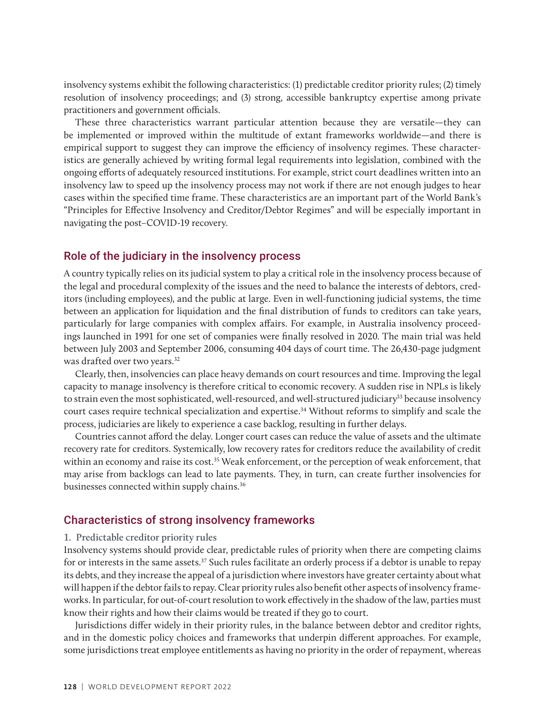insolvency systems exhibit the following characteristics: (1) predictable creditor priority rules; (2) timely resolution of insolvency proceedings; and (3) strong, accessible bankruptcy expertise among private practitioners and government officials.

These three characteristics warrant particular attention because they are versatile—they can be implemented or improved within the multitude of extant frameworks worldwide—and there is empirical support to suggest they can improve the efficiency of insolvency regimes. These characteristics are generally achieved by writing formal legal requirements into legislation, combined with the ongoing efforts of adequately resourced institutions. For example, strict court deadlines written into an insolvency law to speed up the insolvency process may not work if there are not enough judges to hear cases within the specified time frame. These characteristics are an important part of the World Bank's "Principles for Effective Insolvency and Creditor/Debtor Regimes" and will be especially important in navigating the post–COVID-19 recovery.

#### Role of the judiciary in the insolvency process

A country typically relies on its judicial system to play a critical role in the insolvency process because of the legal and procedural complexity of the issues and the need to balance the interests of debtors, creditors (including employees), and the public at large. Even in well-functioning judicial systems, the time between an application for liquidation and the final distribution of funds to creditors can take years, particularly for large companies with complex affairs. For example, in Australia insolvency proceedings launched in 1991 for one set of companies were finally resolved in 2020. The main trial was held between July 2003 and September 2006, consuming 404 days of court time. The 26,430-page judgment was drafted over two years.<sup>32</sup>

Clearly, then, insolvencies can place heavy demands on court resources and time. Improving the legal capacity to manage insolvency is therefore critical to economic recovery. A sudden rise in NPLs is likely to strain even the most sophisticated, well-resourced, and well-structured judiciary<sup>33</sup> because insolvency court cases require technical specialization and expertise.34 Without reforms to simplify and scale the process, judiciaries are likely to experience a case backlog, resulting in further delays.

Countries cannot afford the delay. Longer court cases can reduce the value of assets and the ultimate recovery rate for creditors. Systemically, low recovery rates for creditors reduce the availability of credit within an economy and raise its cost.<sup>35</sup> Weak enforcement, or the perception of weak enforcement, that may arise from backlogs can lead to late payments. They, in turn, can create further insolvencies for businesses connected within supply chains.<sup>36</sup>

#### Characteristics of strong insolvency frameworks

#### **1. Predictable creditor priority rules**

Insolvency systems should provide clear, predictable rules of priority when there are competing claims for or interests in the same assets.<sup>37</sup> Such rules facilitate an orderly process if a debtor is unable to repay its debts, and they increase the appeal of a jurisdiction where investors have greater certainty about what will happen if the debtor fails to repay. Clear priority rules also benefit other aspects of insolvency frameworks. In particular, for out-of-court resolution to work effectively in the shadow of the law, parties must know their rights and how their claims would be treated if they go to court.

Jurisdictions differ widely in their priority rules, in the balance between debtor and creditor rights, and in the domestic policy choices and frameworks that underpin different approaches. For example, some jurisdictions treat employee entitlements as having no priority in the order of repayment, whereas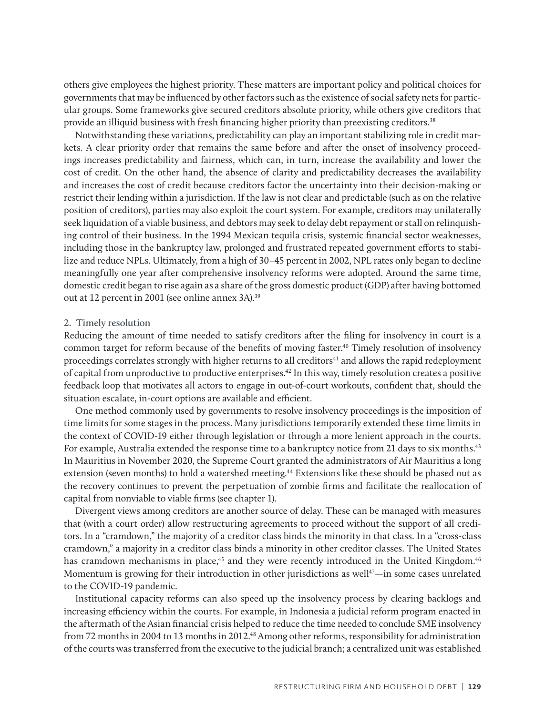others give employees the highest priority. These matters are important policy and political choices for governments that may be influenced by other factors such as the existence of social safety nets for particular groups. Some frameworks give secured creditors absolute priority, while others give creditors that provide an illiquid business with fresh financing higher priority than preexisting creditors.<sup>38</sup>

Notwithstanding these variations, predictability can play an important stabilizing role in credit markets. A clear priority order that remains the same before and after the onset of insolvency proceedings increases predictability and fairness, which can, in turn, increase the availability and lower the cost of credit. On the other hand, the absence of clarity and predictability decreases the availability and increases the cost of credit because creditors factor the uncertainty into their decision-making or restrict their lending within a jurisdiction. If the law is not clear and predictable (such as on the relative position of creditors), parties may also exploit the court system. For example, creditors may unilaterally seek liquidation of a viable business, and debtors may seek to delay debt repayment or stall on relinquishing control of their business. In the 1994 Mexican tequila crisis, systemic financial sector weaknesses, including those in the bankruptcy law, prolonged and frustrated repeated government efforts to stabilize and reduce NPLs. Ultimately, from a high of 30–45 percent in 2002, NPL rates only began to decline meaningfully one year after comprehensive insolvency reforms were adopted. Around the same time, domestic credit began to rise again as a share of the gross domestic product (GDP) after having bottomed out at 12 percent in 2001 (see online annex 3A).<sup>39</sup>

#### **2. Timely resolution**

Reducing the amount of time needed to satisfy creditors after the filing for insolvency in court is a common target for reform because of the benefits of moving faster.<sup>40</sup> Timely resolution of insolvency proceedings correlates strongly with higher returns to all creditors<sup>41</sup> and allows the rapid redeployment of capital from unproductive to productive enterprises.42 In this way, timely resolution creates a positive feedback loop that motivates all actors to engage in out-of-court workouts, confident that, should the situation escalate, in-court options are available and efficient.

One method commonly used by governments to resolve insolvency proceedings is the imposition of time limits for some stages in the process. Many jurisdictions temporarily extended these time limits in the context of COVID-19 either through legislation or through a more lenient approach in the courts. For example, Australia extended the response time to a bankruptcy notice from 21 days to six months.<sup>43</sup> In Mauritius in November 2020, the Supreme Court granted the administrators of Air Mauritius a long extension (seven months) to hold a watershed meeting.<sup>44</sup> Extensions like these should be phased out as the recovery continues to prevent the perpetuation of zombie firms and facilitate the reallocation of capital from nonviable to viable firms (see chapter 1).

Divergent views among creditors are another source of delay. These can be managed with measures that (with a court order) allow restructuring agreements to proceed without the support of all creditors. In a "cramdown," the majority of a creditor class binds the minority in that class. In a "cross-class cramdown," a majority in a creditor class binds a minority in other creditor classes. The United States has cramdown mechanisms in place,<sup>45</sup> and they were recently introduced in the United Kingdom.<sup>46</sup> Momentum is growing for their introduction in other jurisdictions as well<sup>47</sup>—in some cases unrelated to the COVID-19 pandemic.

Institutional capacity reforms can also speed up the insolvency process by clearing backlogs and increasing efficiency within the courts. For example, in Indonesia a judicial reform program enacted in the aftermath of the Asian financial crisis helped to reduce the time needed to conclude SME insolvency from 72 months in 2004 to 13 months in 2012.48 Among other reforms, responsibility for administration of the courts was transferred from the executive to the judicial branch; a centralized unit was established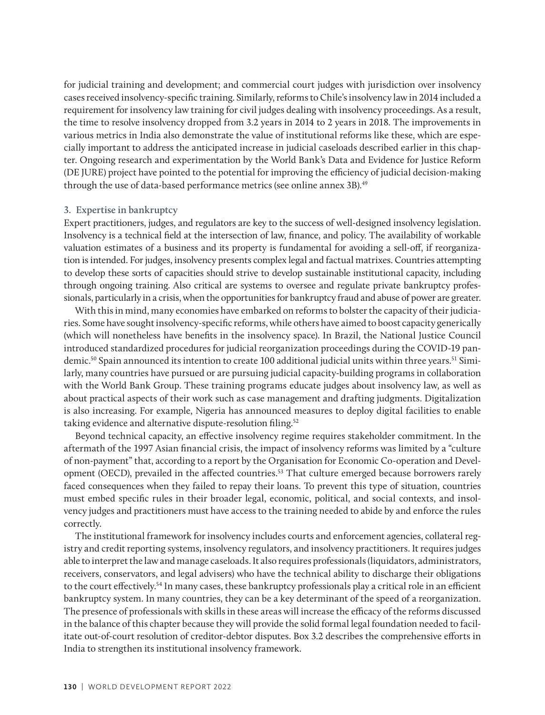for judicial training and development; and commercial court judges with jurisdiction over insolvency cases received insolvency-specific training. Similarly, reforms to Chile's insolvency law in 2014 included a requirement for insolvency law training for civil judges dealing with insolvency proceedings. As a result, the time to resolve insolvency dropped from 3.2 years in 2014 to 2 years in 2018. The improvements in various metrics in India also demonstrate the value of institutional reforms like these, which are especially important to address the anticipated increase in judicial caseloads described earlier in this chapter. Ongoing research and experimentation by the World Bank's Data and Evidence for Justice Reform (DE JURE) project have pointed to the potential for improving the efficiency of judicial decision-making through the use of data-based performance metrics (see online annex 3B).<sup>49</sup>

#### **3. Expertise in bankruptcy**

Expert practitioners, judges, and regulators are key to the success of well-designed insolvency legislation. Insolvency is a technical field at the intersection of law, finance, and policy. The availability of workable valuation estimates of a business and its property is fundamental for avoiding a sell-off, if reorganization is intended. For judges, insolvency presents complex legal and factual matrixes. Countries attempting to develop these sorts of capacities should strive to develop sustainable institutional capacity, including through ongoing training. Also critical are systems to oversee and regulate private bankruptcy professionals, particularly in a crisis, when the opportunities for bankruptcy fraud and abuse of power are greater.

With this in mind, many economies have embarked on reforms to bolster the capacity of their judiciaries. Some have sought insolvency-specific reforms, while others have aimed to boost capacity generically (which will nonetheless have benefits in the insolvency space). In Brazil, the National Justice Council introduced standardized procedures for judicial reorganization proceedings during the COVID-19 pandemic.<sup>50</sup> Spain announced its intention to create 100 additional judicial units within three years.<sup>51</sup> Similarly, many countries have pursued or are pursuing judicial capacity-building programs in collaboration with the World Bank Group. These training programs educate judges about insolvency law, as well as about practical aspects of their work such as case management and drafting judgments. Digitalization is also increasing. For example, Nigeria has announced measures to deploy digital facilities to enable taking evidence and alternative dispute-resolution filing.<sup>52</sup>

Beyond technical capacity, an effective insolvency regime requires stakeholder commitment. In the aftermath of the 1997 Asian financial crisis, the impact of insolvency reforms was limited by a "culture of non-payment" that, according to a report by the Organisation for Economic Co-operation and Development (OECD), prevailed in the affected countries.53 That culture emerged because borrowers rarely faced consequences when they failed to repay their loans. To prevent this type of situation, countries must embed specific rules in their broader legal, economic, political, and social contexts, and insolvency judges and practitioners must have access to the training needed to abide by and enforce the rules correctly.

The institutional framework for insolvency includes courts and enforcement agencies, collateral registry and credit reporting systems, insolvency regulators, and insolvency practitioners. It requires judges able to interpret the law and manage caseloads. It also requires professionals (liquidators, administrators, receivers, conservators, and legal advisers) who have the technical ability to discharge their obligations to the court effectively.<sup>54</sup> In many cases, these bankruptcy professionals play a critical role in an efficient bankruptcy system. In many countries, they can be a key determinant of the speed of a reorganization. The presence of professionals with skills in these areas will increase the efficacy of the reforms discussed in the balance of this chapter because they will provide the solid formal legal foundation needed to facilitate out-of-court resolution of creditor-debtor disputes. Box 3.2 describes the comprehensive efforts in India to strengthen its institutional insolvency framework.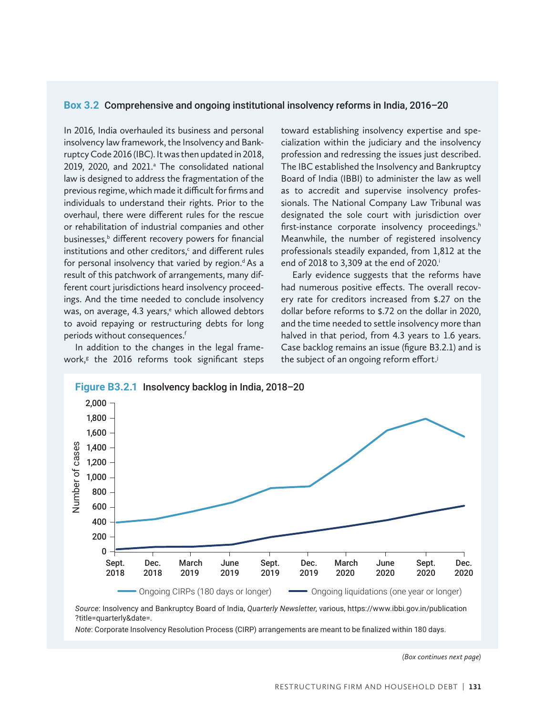#### **Box 3.2** Comprehensive and ongoing institutional insolvency reforms in India, 2016–20

In 2016, India overhauled its business and personal insolvency law framework, the Insolvency and Bankruptcy Code 2016 (IBC). It was then updated in 2018, 2019, 2020, and 2021.<sup>a</sup> The consolidated national law is designed to address the fragmentation of the previous regime, which made it difficult for firms and individuals to understand their rights. Prior to the overhaul, there were different rules for the rescue or rehabilitation of industrial companies and other businesses,<sup>b</sup> different recovery powers for financial institutions and other creditors, $c$  and different rules for personal insolvency that varied by region.<sup>d</sup> As a result of this patchwork of arrangements, many different court jurisdictions heard insolvency proceedings. And the time needed to conclude insolvency was, on average, 4.3 years,<sup>e</sup> which allowed debtors to avoid repaying or restructuring debts for long periods without consequences.<sup>f</sup>

work, $s$  the 2016 reforms took significant steps In addition to the changes in the legal frame-

toward establishing insolvency expertise and specialization within the judiciary and the insolvency profession and redressing the issues just described. The IBC established the Insolvency and Bankruptcy Board of India (IBBI) to administer the law as well as to accredit and supervise insolvency professionals. The National Company Law Tribunal was designated the sole court with jurisdiction over first-instance corporate insolvency proceedings.<sup>h</sup> Meanwhile, the number of registered insolvency professionals steadily expanded, from 1,812 at the end of 2018 to 3,309 at the end of 2020.<sup>i</sup>

Early evidence suggests that the reforms have had numerous positive effects. The overall recovery rate for creditors increased from \$.27 on the dollar before reforms to \$.72 on the dollar in 2020, and the time needed to settle insolvency more than halved in that period, from 4.3 years to 1.6 years. Case backlog remains an issue (figure B3.2.1) and is the subject of an ongoing reform effort.<sup>j</sup>



*Source*: Insolvency and Bankruptcy Board of India, *Quarterly Newsletter*, various, https://www.ibbi.gov.in/publication ?title=quarterly&date=.

*Note*: Corporate Insolvency Resolution Process (CIRP) arrangements are meant to be finalized within 180 days.

*(Box continues next page)*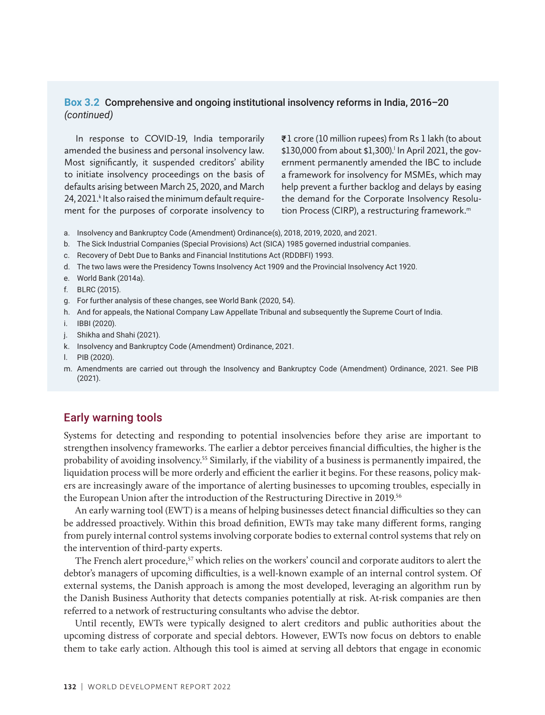#### **Box 3.2** Comprehensive and ongoing institutional insolvency reforms in India, 2016–20 *(continued)*

In response to COVID-19, India temporarily amended the business and personal insolvency law. Most significantly, it suspended creditors' ability to initiate insolvency proceedings on the basis of defaults arising between March 25, 2020, and March 24, 2021.<sup>k</sup> It also raised the minimum default requirement for the purposes of corporate insolvency to ₹1 crore (10 million rupees) from Rs 1 lakh (to about \$130,000 from about \$1,300).<sup>1</sup> In April 2021, the government permanently amended the IBC to include a framework for insolvency for MSMEs, which may help prevent a further backlog and delays by easing the demand for the Corporate Insolvency Resolution Process (CIRP), a restructuring framework.<sup>m</sup>

- a. Insolvency and Bankruptcy Code (Amendment) Ordinance(s), 2018, 2019, 2020, and 2021.
- b. The Sick Industrial Companies (Special Provisions) Act (SICA) 1985 governed industrial companies.
- c. Recovery of Debt Due to Banks and Financial Institutions Act (RDDBFI) 1993.
- d. The two laws were the Presidency Towns Insolvency Act 1909 and the Provincial Insolvency Act 1920.
- e. World Bank (2014a).
- f. BLRC (2015).
- g. For further analysis of these changes, see World Bank (2020, 54).
- h. And for appeals, the National Company Law Appellate Tribunal and subsequently the Supreme Court of India.
- i. IBBI (2020).
- j. Shikha and Shahi (2021).
- k. Insolvency and Bankruptcy Code (Amendment) Ordinance, 2021.
- l. PIB (2020).
- m. Amendments are carried out through the Insolvency and Bankruptcy Code (Amendment) Ordinance, 2021. See PIB (2021).

#### Early warning tools

Systems for detecting and responding to potential insolvencies before they arise are important to strengthen insolvency frameworks. The earlier a debtor perceives financial difficulties, the higher is the probability of avoiding insolvency.55 Similarly, if the viability of a business is permanently impaired, the liquidation process will be more orderly and efficient the earlier it begins. For these reasons, policy makers are increasingly aware of the importance of alerting businesses to upcoming troubles, especially in the European Union after the introduction of the Restructuring Directive in 2019.56

An early warning tool (EWT) is a means of helping businesses detect financial difficulties so they can be addressed proactively. Within this broad definition, EWTs may take many different forms, ranging from purely internal control systems involving corporate bodies to external control systems that rely on the intervention of third-party experts.

The French alert procedure,<sup>57</sup> which relies on the workers' council and corporate auditors to alert the debtor's managers of upcoming difficulties, is a well-known example of an internal control system. Of external systems, the Danish approach is among the most developed, leveraging an algorithm run by the Danish Business Authority that detects companies potentially at risk. At-risk companies are then referred to a network of restructuring consultants who advise the debtor.

Until recently, EWTs were typically designed to alert creditors and public authorities about the upcoming distress of corporate and special debtors. However, EWTs now focus on debtors to enable them to take early action. Although this tool is aimed at serving all debtors that engage in economic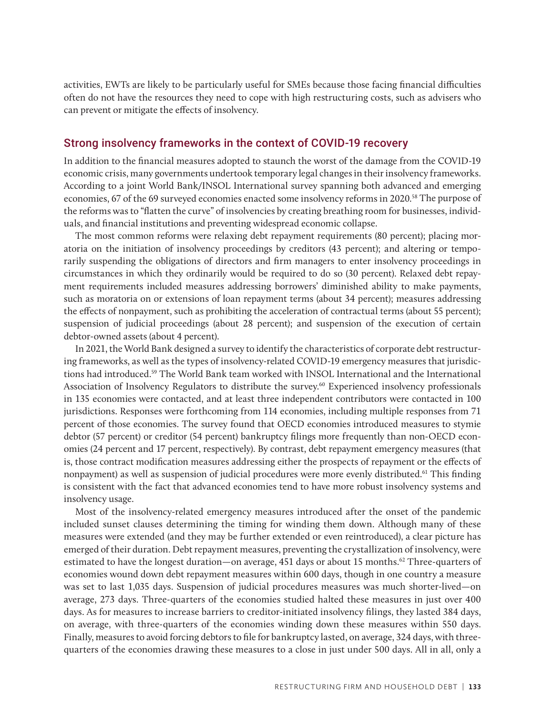activities, EWTs are likely to be particularly useful for SMEs because those facing financial difficulties often do not have the resources they need to cope with high restructuring costs, such as advisers who can prevent or mitigate the effects of insolvency.

#### Strong insolvency frameworks in the context of COVID-19 recovery

In addition to the financial measures adopted to staunch the worst of the damage from the COVID-19 economic crisis, many governments undertook temporary legal changes in their insolvency frameworks. According to a joint World Bank/INSOL International survey spanning both advanced and emerging economies, 67 of the 69 surveyed economies enacted some insolvency reforms in 2020.<sup>58</sup> The purpose of the reforms was to "flatten the curve" of insolvencies by creating breathing room for businesses, individuals, and financial institutions and preventing widespread economic collapse.

The most common reforms were relaxing debt repayment requirements (80 percent); placing moratoria on the initiation of insolvency proceedings by creditors (43 percent); and altering or temporarily suspending the obligations of directors and firm managers to enter insolvency proceedings in circumstances in which they ordinarily would be required to do so (30 percent). Relaxed debt repayment requirements included measures addressing borrowers' diminished ability to make payments, such as moratoria on or extensions of loan repayment terms (about 34 percent); measures addressing the effects of nonpayment, such as prohibiting the acceleration of contractual terms (about 55 percent); suspension of judicial proceedings (about 28 percent); and suspension of the execution of certain debtor-owned assets (about 4 percent).

In 2021, the World Bank designed a survey to identify the characteristics of corporate debt restructuring frameworks, as well as the types of insolvency-related COVID-19 emergency measures that jurisdictions had introduced.59 The World Bank team worked with INSOL International and the International Association of Insolvency Regulators to distribute the survey.<sup>60</sup> Experienced insolvency professionals in 135 economies were contacted, and at least three independent contributors were contacted in 100 jurisdictions. Responses were forthcoming from 114 economies, including multiple responses from 71 percent of those economies. The survey found that OECD economies introduced measures to stymie debtor (57 percent) or creditor (54 percent) bankruptcy filings more frequently than non-OECD economies (24 percent and 17 percent, respectively). By contrast, debt repayment emergency measures (that is, those contract modification measures addressing either the prospects of repayment or the effects of nonpayment) as well as suspension of judicial procedures were more evenly distributed.61 This finding is consistent with the fact that advanced economies tend to have more robust insolvency systems and insolvency usage.

Most of the insolvency-related emergency measures introduced after the onset of the pandemic included sunset clauses determining the timing for winding them down. Although many of these measures were extended (and they may be further extended or even reintroduced), a clear picture has emerged of their duration. Debt repayment measures, preventing the crystallization of insolvency, were estimated to have the longest duration—on average, 451 days or about 15 months.<sup>62</sup> Three-quarters of economies wound down debt repayment measures within 600 days, though in one country a measure was set to last 1,035 days. Suspension of judicial procedures measures was much shorter-lived—on average, 273 days. Three-quarters of the economies studied halted these measures in just over 400 days. As for measures to increase barriers to creditor-initiated insolvency filings, they lasted 384 days, on average, with three-quarters of the economies winding down these measures within 550 days. Finally, measures to avoid forcing debtors to file for bankruptcy lasted, on average, 324 days, with threequarters of the economies drawing these measures to a close in just under 500 days. All in all, only a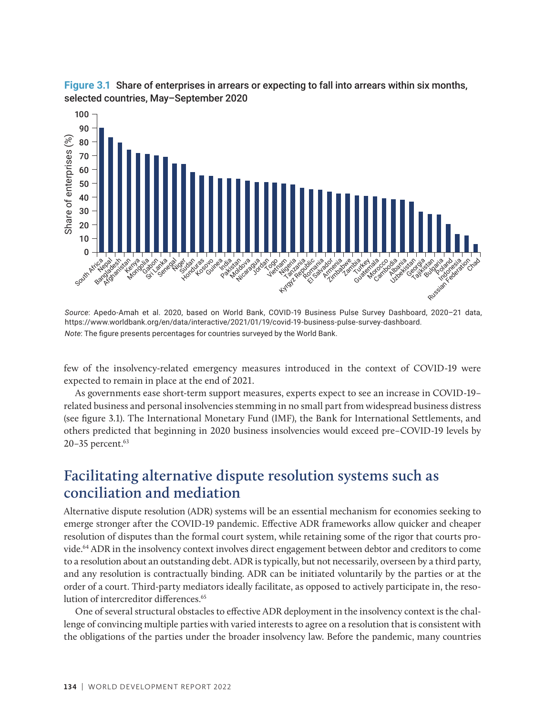

**Figure 3.1** Share of enterprises in arrears or expecting to fall into arrears within six months, selected countries, May–September 2020

*Source*: Apedo-Amah et al. 2020, based on World Bank, COVID-19 Business Pulse Survey Dashboard, 2020–21 data, https://www.worldbank.org/en/data/interactive/2021/01/19/covid-19-business-pulse-survey-dashboard. *Note*: The figure presents percentages for countries surveyed by the World Bank.

few of the insolvency-related emergency measures introduced in the context of COVID-19 were expected to remain in place at the end of 2021.

As governments ease short-term support measures, experts expect to see an increase in COVID-19– related business and personal insolvencies stemming in no small part from widespread business distress (see figure 3.1). The International Monetary Fund (IMF), the Bank for International Settlements, and others predicted that beginning in 2020 business insolvencies would exceed pre–COVID-19 levels by 20-35 percent.<sup>63</sup>

## **Facilitating alternative dispute resolution systems such as conciliation and mediation**

Alternative dispute resolution (ADR) systems will be an essential mechanism for economies seeking to emerge stronger after the COVID-19 pandemic. Effective ADR frameworks allow quicker and cheaper resolution of disputes than the formal court system, while retaining some of the rigor that courts provide.64 ADR in the insolvency context involves direct engagement between debtor and creditors to come to a resolution about an outstanding debt. ADR is typically, but not necessarily, overseen by a third party, and any resolution is contractually binding. ADR can be initiated voluntarily by the parties or at the order of a court. Third-party mediators ideally facilitate, as opposed to actively participate in, the resolution of intercreditor differences.<sup>65</sup>

One of several structural obstacles to effective ADR deployment in the insolvency context is the challenge of convincing multiple parties with varied interests to agree on a resolution that is consistent with the obligations of the parties under the broader insolvency law. Before the pandemic, many countries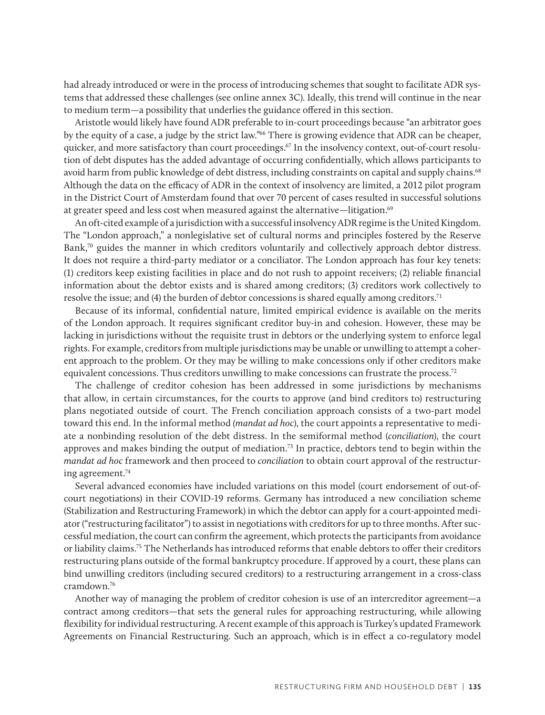had already introduced or were in the process of introducing schemes that sought to facilitate ADR systems that addressed these challenges (see online annex 3C). Ideally, this trend will continue in the near to medium term—a possibility that underlies the guidance offered in this section.

Aristotle would likely have found ADR preferable to in-court proceedings because "an arbitrator goes by the equity of a case, a judge by the strict law."66 There is growing evidence that ADR can be cheaper, quicker, and more satisfactory than court proceedings.<sup>67</sup> In the insolvency context, out-of-court resolution of debt disputes has the added advantage of occurring confidentially, which allows participants to avoid harm from public knowledge of debt distress, including constraints on capital and supply chains.<sup>68</sup> Although the data on the efficacy of ADR in the context of insolvency are limited, a 2012 pilot program in the District Court of Amsterdam found that over 70 percent of cases resulted in successful solutions at greater speed and less cost when measured against the alternative—litigation.<sup>69</sup>

An oft-cited example of a jurisdiction with a successful insolvency ADR regime is the United Kingdom. The "London approach," a nonlegislative set of cultural norms and principles fostered by the Reserve Bank,<sup>70</sup> guides the manner in which creditors voluntarily and collectively approach debtor distress. It does not require a third-party mediator or a conciliator. The London approach has four key tenets: (1) creditors keep existing facilities in place and do not rush to appoint receivers; (2) reliable financial information about the debtor exists and is shared among creditors; (3) creditors work collectively to resolve the issue; and (4) the burden of debtor concessions is shared equally among creditors.<sup>71</sup>

Because of its informal, confidential nature, limited empirical evidence is available on the merits of the London approach. It requires significant creditor buy-in and cohesion. However, these may be lacking in jurisdictions without the requisite trust in debtors or the underlying system to enforce legal rights. For example, creditors from multiple jurisdictions may be unable or unwilling to attempt a coherent approach to the problem. Or they may be willing to make concessions only if other creditors make equivalent concessions. Thus creditors unwilling to make concessions can frustrate the process.<sup>72</sup>

The challenge of creditor cohesion has been addressed in some jurisdictions by mechanisms that allow, in certain circumstances, for the courts to approve (and bind creditors to) restructuring plans negotiated outside of court. The French conciliation approach consists of a two-part model toward this end. In the informal method *(mandat ad hoc*), the court appoints a representative to mediate a nonbinding resolution of the debt distress. In the semiformal method (*conciliation*), the court approves and makes binding the output of mediation.73 In practice, debtors tend to begin within the *mandat ad hoc* framework and then proceed to *conciliation* to obtain court approval of the restructuring agreement.74

Several advanced economies have included variations on this model (court endorsement of out-ofcourt negotiations) in their COVID-19 reforms. Germany has introduced a new conciliation scheme (Stabilization and Restructuring Framework) in which the debtor can apply for a court-appointed mediator ("restructuring facilitator") to assist in negotiations with creditors for up to three months. After successful mediation, the court can confirm the agreement, which protects the participants from avoidance or liability claims.75 The Netherlands has introduced reforms that enable debtors to offer their creditors restructuring plans outside of the formal bankruptcy procedure. If approved by a court, these plans can bind unwilling creditors (including secured creditors) to a restructuring arrangement in a cross-class cramdown.76

Another way of managing the problem of creditor cohesion is use of an intercreditor agreement—a contract among creditors—that sets the general rules for approaching restructuring, while allowing flexibility for individual restructuring. A recent example of this approach is Turkey's updated Framework Agreements on Financial Restructuring. Such an approach, which is in effect a co-regulatory model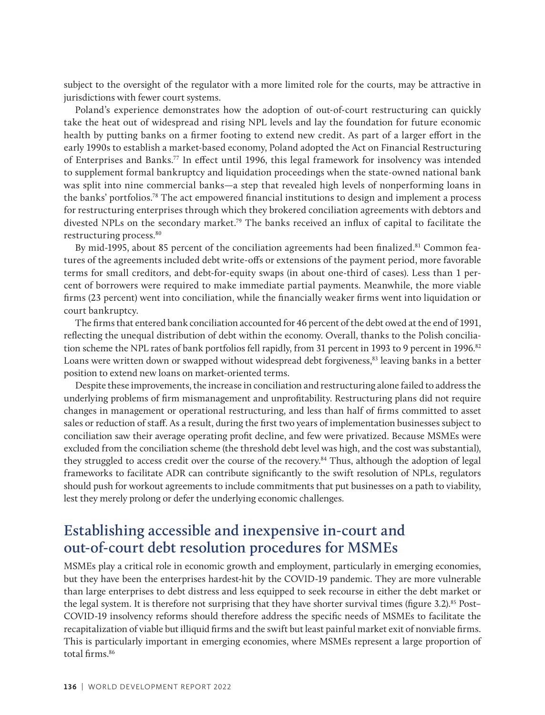subject to the oversight of the regulator with a more limited role for the courts, may be attractive in jurisdictions with fewer court systems.

Poland's experience demonstrates how the adoption of out-of-court restructuring can quickly take the heat out of widespread and rising NPL levels and lay the foundation for future economic health by putting banks on a firmer footing to extend new credit. As part of a larger effort in the early 1990s to establish a market-based economy, Poland adopted the Act on Financial Restructuring of Enterprises and Banks.77 In effect until 1996, this legal framework for insolvency was intended to supplement formal bankruptcy and liquidation proceedings when the state-owned national bank was split into nine commercial banks—a step that revealed high levels of nonperforming loans in the banks' portfolios.78 The act empowered financial institutions to design and implement a process for restructuring enterprises through which they brokered conciliation agreements with debtors and divested NPLs on the secondary market.79 The banks received an influx of capital to facilitate the restructuring process.<sup>80</sup>

By mid-1995, about 85 percent of the conciliation agreements had been finalized.<sup>81</sup> Common features of the agreements included debt write-offs or extensions of the payment period, more favorable terms for small creditors, and debt-for-equity swaps (in about one-third of cases). Less than 1 percent of borrowers were required to make immediate partial payments. Meanwhile, the more viable firms (23 percent) went into conciliation, while the financially weaker firms went into liquidation or court bankruptcy.

The firms that entered bank conciliation accounted for 46 percent of the debt owed at the end of 1991, reflecting the unequal distribution of debt within the economy. Overall, thanks to the Polish conciliation scheme the NPL rates of bank portfolios fell rapidly, from 31 percent in 1993 to 9 percent in 1996.<sup>82</sup> Loans were written down or swapped without widespread debt forgiveness,<sup>83</sup> leaving banks in a better position to extend new loans on market-oriented terms.

Despite these improvements, the increase in conciliation and restructuring alone failed to address the underlying problems of firm mismanagement and unprofitability. Restructuring plans did not require changes in management or operational restructuring, and less than half of firms committed to asset sales or reduction of staff. As a result, during the first two years of implementation businesses subject to conciliation saw their average operating profit decline, and few were privatized. Because MSMEs were excluded from the conciliation scheme (the threshold debt level was high, and the cost was substantial), they struggled to access credit over the course of the recovery.84 Thus, although the adoption of legal frameworks to facilitate ADR can contribute significantly to the swift resolution of NPLs, regulators should push for workout agreements to include commitments that put businesses on a path to viability, lest they merely prolong or defer the underlying economic challenges.

## **Establishing accessible and inexpensive in-court and out-of-court debt resolution procedures for MSMEs**

MSMEs play a critical role in economic growth and employment, particularly in emerging economies, but they have been the enterprises hardest-hit by the COVID-19 pandemic. They are more vulnerable than large enterprises to debt distress and less equipped to seek recourse in either the debt market or the legal system. It is therefore not surprising that they have shorter survival times (figure 3.2).<sup>85</sup> Post– COVID-19 insolvency reforms should therefore address the specific needs of MSMEs to facilitate the recapitalization of viable but illiquid firms and the swift but least painful market exit of nonviable firms. This is particularly important in emerging economies, where MSMEs represent a large proportion of total firms.<sup>86</sup>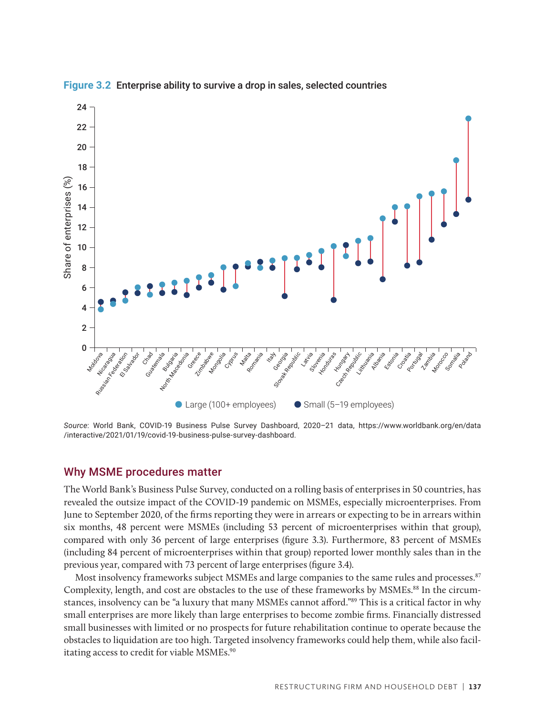

**Figure 3.2** Enterprise ability to survive a drop in sales, selected countries

*Source*: World Bank, COVID-19 Business Pulse Survey Dashboard, 2020–21 data, https://www.worldbank.org/en/data /interactive/2021/01/19/covid-19-business-pulse-survey-dashboard.

#### Why MSME procedures matter

The World Bank's Business Pulse Survey, conducted on a rolling basis of enterprises in 50 countries, has revealed the outsize impact of the COVID-19 pandemic on MSMEs, especially microenterprises. From June to September 2020, of the firms reporting they were in arrears or expecting to be in arrears within six months, 48 percent were MSMEs (including 53 percent of microenterprises within that group), compared with only 36 percent of large enterprises (figure 3.3). Furthermore, 83 percent of MSMEs (including 84 percent of microenterprises within that group) reported lower monthly sales than in the previous year, compared with 73 percent of large enterprises (figure 3.4).

Most insolvency frameworks subject MSMEs and large companies to the same rules and processes.<sup>87</sup> Complexity, length, and cost are obstacles to the use of these frameworks by MSMEs.<sup>88</sup> In the circumstances, insolvency can be "a luxury that many MSMEs cannot afford."89 This is a critical factor in why small enterprises are more likely than large enterprises to become zombie firms. Financially distressed small businesses with limited or no prospects for future rehabilitation continue to operate because the obstacles to liquidation are too high. Targeted insolvency frameworks could help them, while also facilitating access to credit for viable MSMEs.<sup>90</sup>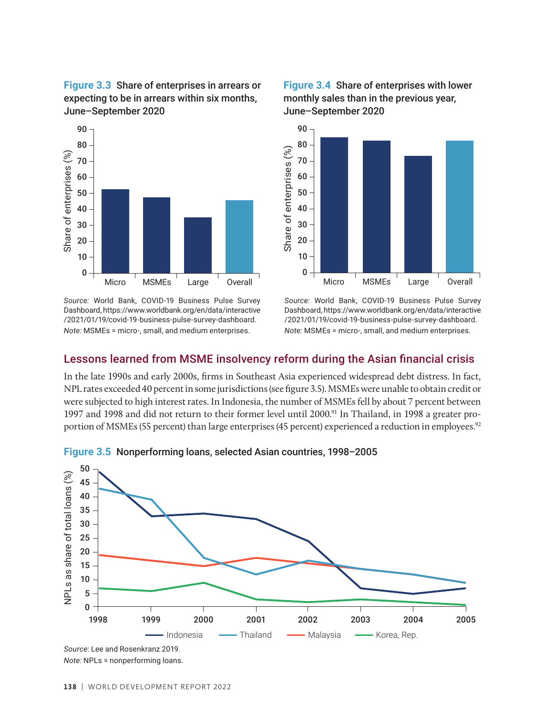**Figure 3.3** Share of enterprises in arrears or **Figure 3.3** Share of enterprises in arrears of expecting to be in arrears within six months, June–September 2020



*Source:* World Bank, COVID-19 Business Pulse Survey Dashboard, https://www.worldbank.org/en/data/interactive /2021/01/19/covid-19-business-pulse-survey-dashboard. *Note:* MSMEs = micro-, small, and medium enterprises.





*Source:* World Bank, COVID-19 Business Pulse Survey Dashboard, https://www.worldbank.org/en/data/interactive /2021/01/19/covid-19-business-pulse-survey-dashboard. *Note:* MSMEs = micro-, small, and medium enterprises.

#### Lessons learned from MSME insolvency reform during the Asian financial crisis

In the late 1990s and early 2000s, firms in Southeast Asia experienced widespread debt distress. In fact, NPL rates exceeded 40 percent in some jurisdictions (see figure 3.5). MSMEs were unable to obtain credit or were subjected to high interest rates. In Indonesia, the number of MSMEs fell by about 7 percent between were subjected to high interest rates. In muonesia, the number of MSMES fell by about 7 percent between<br>1997 and 1998 and did not return to their former level until 2000.<sup>91</sup> In Thailand, in 1998 a greater proportion of MSMEs (55 percent) than large enterprises (45 percent) experienced a reduction in employees.<sup>92</sup>



**Figure 3.5** Nonperforming loans, selected Asian countries, 1998–2005

*Note:* NPLs = nonperforming loans.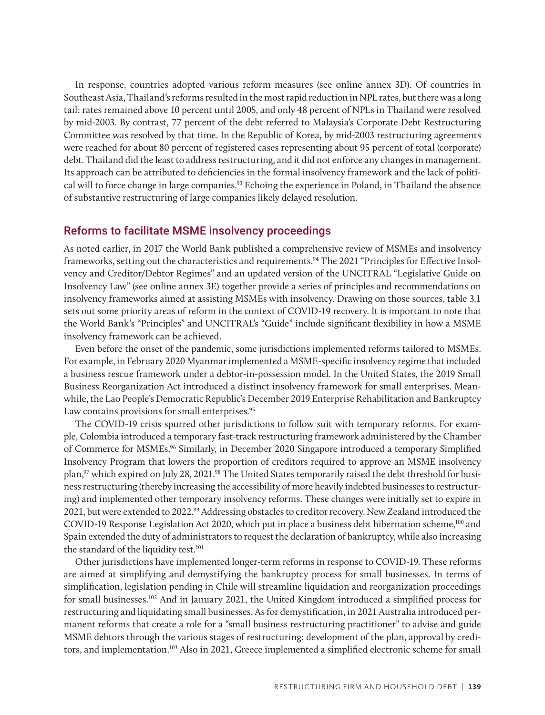In response, countries adopted various reform measures (see online annex 3D). Of countries in Southeast Asia, Thailand's reforms resulted in the most rapid reduction in NPL rates, but there was a long tail: rates remained above 10 percent until 2005, and only 48 percent of NPLs in Thailand were resolved by mid-2003. By contrast, 77 percent of the debt referred to Malaysia's Corporate Debt Restructuring Committee was resolved by that time. In the Republic of Korea, by mid-2003 restructuring agreements were reached for about 80 percent of registered cases representing about 95 percent of total (corporate) debt. Thailand did the least to address restructuring, and it did not enforce any changes in management. Its approach can be attributed to deficiencies in the formal insolvency framework and the lack of political will to force change in large companies.93 Echoing the experience in Poland, in Thailand the absence of substantive restructuring of large companies likely delayed resolution.

#### Reforms to facilitate MSME insolvency proceedings

As noted earlier, in 2017 the World Bank published a comprehensive review of MSMEs and insolvency frameworks, setting out the characteristics and requirements.94 The 2021 "Principles for Effective Insolvency and Creditor/Debtor Regimes" and an updated version of the UNCITRAL "Legislative Guide on Insolvency Law" (see online annex 3E) together provide a series of principles and recommendations on insolvency frameworks aimed at assisting MSMEs with insolvency. Drawing on those sources, table 3.1 sets out some priority areas of reform in the context of COVID-19 recovery. It is important to note that the World Bank's "Principles" and UNCITRAL's "Guide" include significant flexibility in how a MSME insolvency framework can be achieved.

Even before the onset of the pandemic, some jurisdictions implemented reforms tailored to MSMEs. For example, in February 2020 Myanmar implemented a MSME-specific insolvency regime that included a business rescue framework under a debtor-in-possession model. In the United States, the 2019 Small Business Reorganization Act introduced a distinct insolvency framework for small enterprises. Meanwhile, the Lao People's Democratic Republic's December 2019 Enterprise Rehabilitation and Bankruptcy Law contains provisions for small enterprises*.* 95

The COVID-19 crisis spurred other jurisdictions to follow suit with temporary reforms. For example, Colombia introduced a temporary fast-track restructuring framework administered by the Chamber of Commerce for MSMEs.<sup>96</sup> Similarly, in December 2020 Singapore introduced a temporary Simplified Insolvency Program that lowers the proportion of creditors required to approve an MSME insolvency plan,<sup>97</sup> which expired on July 28, 2021.<sup>98</sup> The United States temporarily raised the debt threshold for business restructuring (thereby increasing the accessibility of more heavily indebted businesses to restructuring) and implemented other temporary insolvency reforms. These changes were initially set to expire in 2021, but were extended to 2022.99 Addressing obstacles to creditor recovery, New Zealand introduced the COVID-19 Response Legislation Act 2020, which put in place a business debt hibernation scheme,<sup>100</sup> and Spain extended the duty of administrators to request the declaration of bankruptcy, while also increasing the standard of the liquidity test.<sup>101</sup>

Other jurisdictions have implemented longer-term reforms in response to COVID-19. These reforms are aimed at simplifying and demystifying the bankruptcy process for small businesses. In terms of simplification, legislation pending in Chile will streamline liquidation and reorganization proceedings for small businesses.102 And in January 2021, the United Kingdom introduced a simplified process for restructuring and liquidating small businesses. As for demystification, in 2021 Australia introduced permanent reforms that create a role for a "small business restructuring practitioner" to advise and guide MSME debtors through the various stages of restructuring: development of the plan, approval by creditors, and implementation.<sup>103</sup> Also in 2021, Greece implemented a simplified electronic scheme for small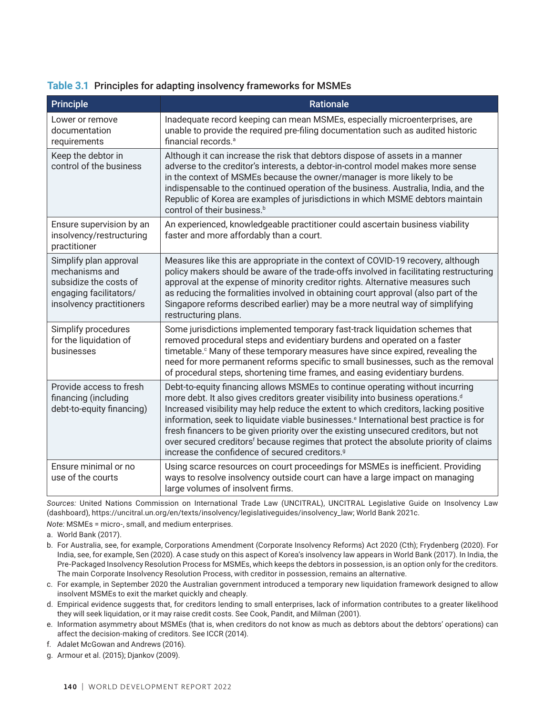|  |  |  |  | Table 3.1 Principles for adapting insolvency frameworks for MSMEs |  |
|--|--|--|--|-------------------------------------------------------------------|--|
|--|--|--|--|-------------------------------------------------------------------|--|

| <b>Principle</b>                                                                                                         | <b>Rationale</b>                                                                                                                                                                                                                                                                                                                                                                                                                                                                                                                                                                                                                    |
|--------------------------------------------------------------------------------------------------------------------------|-------------------------------------------------------------------------------------------------------------------------------------------------------------------------------------------------------------------------------------------------------------------------------------------------------------------------------------------------------------------------------------------------------------------------------------------------------------------------------------------------------------------------------------------------------------------------------------------------------------------------------------|
| Lower or remove<br>documentation<br>requirements                                                                         | Inadequate record keeping can mean MSMEs, especially microenterprises, are<br>unable to provide the required pre-filing documentation such as audited historic<br>financial records. <sup>a</sup>                                                                                                                                                                                                                                                                                                                                                                                                                                   |
| Keep the debtor in<br>control of the business                                                                            | Although it can increase the risk that debtors dispose of assets in a manner<br>adverse to the creditor's interests, a debtor-in-control model makes more sense<br>in the context of MSMEs because the owner/manager is more likely to be<br>indispensable to the continued operation of the business. Australia, India, and the<br>Republic of Korea are examples of jurisdictions in which MSME debtors maintain<br>control of their business. <sup>b</sup>                                                                                                                                                                       |
| Ensure supervision by an<br>insolvency/restructuring<br>practitioner                                                     | An experienced, knowledgeable practitioner could ascertain business viability<br>faster and more affordably than a court.                                                                                                                                                                                                                                                                                                                                                                                                                                                                                                           |
| Simplify plan approval<br>mechanisms and<br>subsidize the costs of<br>engaging facilitators/<br>insolvency practitioners | Measures like this are appropriate in the context of COVID-19 recovery, although<br>policy makers should be aware of the trade-offs involved in facilitating restructuring<br>approval at the expense of minority creditor rights. Alternative measures such<br>as reducing the formalities involved in obtaining court approval (also part of the<br>Singapore reforms described earlier) may be a more neutral way of simplifying<br>restructuring plans.                                                                                                                                                                         |
| Simplify procedures<br>for the liquidation of<br>businesses                                                              | Some jurisdictions implemented temporary fast-track liquidation schemes that<br>removed procedural steps and evidentiary burdens and operated on a faster<br>timetable. <sup>c</sup> Many of these temporary measures have since expired, revealing the<br>need for more permanent reforms specific to small businesses, such as the removal<br>of procedural steps, shortening time frames, and easing evidentiary burdens.                                                                                                                                                                                                        |
| Provide access to fresh<br>financing (including<br>debt-to-equity financing)                                             | Debt-to-equity financing allows MSMEs to continue operating without incurring<br>more debt. It also gives creditors greater visibility into business operations. <sup>d</sup><br>Increased visibility may help reduce the extent to which creditors, lacking positive<br>information, seek to liquidate viable businesses. <sup>e</sup> International best practice is for<br>fresh financers to be given priority over the existing unsecured creditors, but not<br>over secured creditors <sup>f</sup> because regimes that protect the absolute priority of claims<br>increase the confidence of secured creditors. <sup>9</sup> |
| Ensure minimal or no<br>use of the courts                                                                                | Using scarce resources on court proceedings for MSMEs is inefficient. Providing<br>ways to resolve insolvency outside court can have a large impact on managing<br>large volumes of insolvent firms.                                                                                                                                                                                                                                                                                                                                                                                                                                |

*Sources:* United Nations Commission on International Trade Law (UNCITRAL), UNCITRAL Legislative Guide on Insolvency Law (dashboard), https://uncitral.un.org/en/texts/insolvency/legislativeguides/insolvency\_law; World Bank 2021c.

*Note:* MSMEs = micro-, small, and medium enterprises.

a. World Bank (2017).

- b. For Australia, see, for example, Corporations Amendment (Corporate Insolvency Reforms) Act 2020 (Cth); Frydenberg (2020). For India, see, for example, Sen (2020). A case study on this aspect of Korea's insolvency law appears in World Bank (2017). In India, the Pre-Packaged Insolvency Resolution Process for MSMEs, which keeps the debtors in possession, is an option only for the creditors. The main Corporate Insolvency Resolution Process, with creditor in possession, remains an alternative.
- c. For example, in September 2020 the Australian government introduced a temporary new liquidation framework designed to allow insolvent MSMEs to exit the market quickly and cheaply.
- d. Empirical evidence suggests that, for creditors lending to small enterprises, lack of information contributes to a greater likelihood they will seek liquidation, or it may raise credit costs. See Cook, Pandit, and Milman (2001).
- e. Information asymmetry about MSMEs (that is, when creditors do not know as much as debtors about the debtors' operations) can affect the decision-making of creditors. See ICCR (2014).
- f. Adalet McGowan and Andrews (2016).
- g. Armour et al. (2015); Djankov (2009).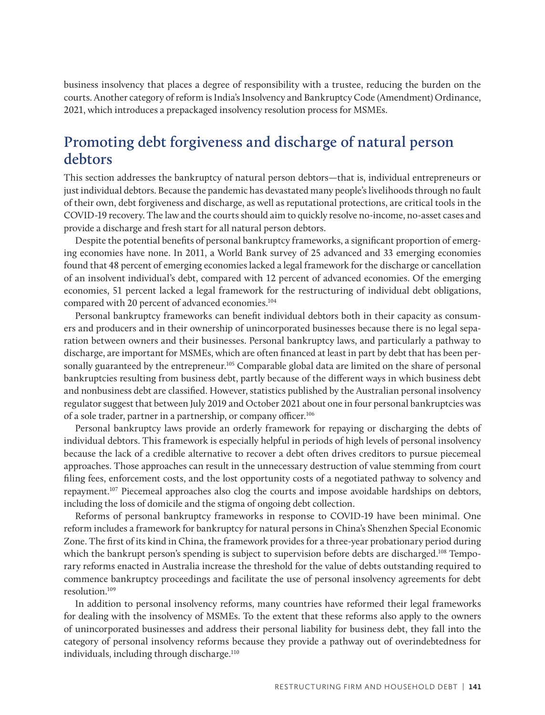business insolvency that places a degree of responsibility with a trustee, reducing the burden on the courts. Another category of reform is India's Insolvency and Bankruptcy Code (Amendment) Ordinance, 2021, which introduces a prepackaged insolvency resolution process for MSMEs.

## **Promoting debt forgiveness and discharge of natural person debtors**

This section addresses the bankruptcy of natural person debtors—that is, individual entrepreneurs or just individual debtors. Because the pandemic has devastated many people's livelihoods through no fault of their own, debt forgiveness and discharge, as well as reputational protections, are critical tools in the COVID-19 recovery. The law and the courts should aim to quickly resolve no-income, no-asset cases and provide a discharge and fresh start for all natural person debtors.

Despite the potential benefits of personal bankruptcy frameworks, a significant proportion of emerging economies have none. In 2011, a World Bank survey of 25 advanced and 33 emerging economies found that 48 percent of emerging economies lacked a legal framework for the discharge or cancellation of an insolvent individual's debt, compared with 12 percent of advanced economies. Of the emerging economies, 51 percent lacked a legal framework for the restructuring of individual debt obligations, compared with 20 percent of advanced economies.<sup>104</sup>

Personal bankruptcy frameworks can benefit individual debtors both in their capacity as consumers and producers and in their ownership of unincorporated businesses because there is no legal separation between owners and their businesses. Personal bankruptcy laws, and particularly a pathway to discharge, are important for MSMEs, which are often financed at least in part by debt that has been personally guaranteed by the entrepreneur.<sup>105</sup> Comparable global data are limited on the share of personal bankruptcies resulting from business debt, partly because of the different ways in which business debt and nonbusiness debt are classified. However, statistics published by the Australian personal insolvency regulator suggest that between July 2019 and October 2021 about one in four personal bankruptcies was of a sole trader, partner in a partnership, or company officer.<sup>106</sup>

Personal bankruptcy laws provide an orderly framework for repaying or discharging the debts of individual debtors. This framework is especially helpful in periods of high levels of personal insolvency because the lack of a credible alternative to recover a debt often drives creditors to pursue piecemeal approaches. Those approaches can result in the unnecessary destruction of value stemming from court filing fees, enforcement costs, and the lost opportunity costs of a negotiated pathway to solvency and repayment.107 Piecemeal approaches also clog the courts and impose avoidable hardships on debtors, including the loss of domicile and the stigma of ongoing debt collection.

Reforms of personal bankruptcy frameworks in response to COVID-19 have been minimal. One reform includes a framework for bankruptcy for natural persons in China's Shenzhen Special Economic Zone. The first of its kind in China, the framework provides for a three-year probationary period during which the bankrupt person's spending is subject to supervision before debts are discharged.<sup>108</sup> Temporary reforms enacted in Australia increase the threshold for the value of debts outstanding required to commence bankruptcy proceedings and facilitate the use of personal insolvency agreements for debt resolution.109

In addition to personal insolvency reforms, many countries have reformed their legal frameworks for dealing with the insolvency of MSMEs. To the extent that these reforms also apply to the owners of unincorporated businesses and address their personal liability for business debt, they fall into the category of personal insolvency reforms because they provide a pathway out of overindebtedness for individuals, including through discharge.<sup>110</sup>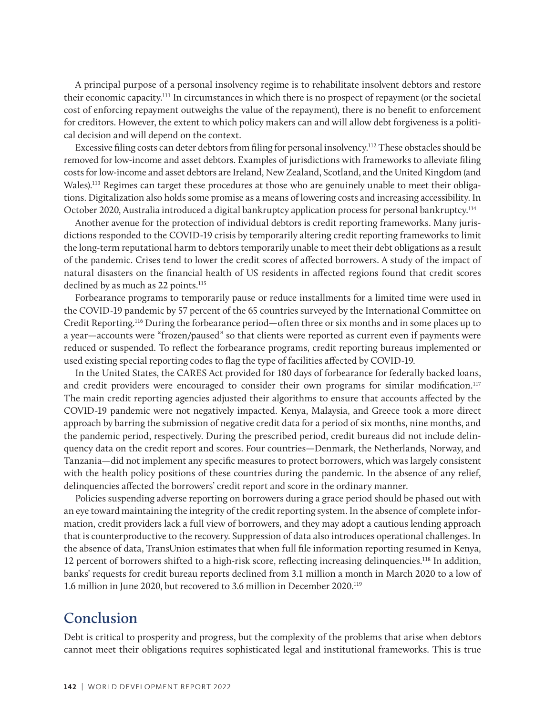A principal purpose of a personal insolvency regime is to rehabilitate insolvent debtors and restore their economic capacity.111 In circumstances in which there is no prospect of repayment (or the societal cost of enforcing repayment outweighs the value of the repayment), there is no benefit to enforcement for creditors. However, the extent to which policy makers can and will allow debt forgiveness is a political decision and will depend on the context.

Excessive filing costs can deter debtors from filing for personal insolvency.112 These obstacles should be removed for low-income and asset debtors. Examples of jurisdictions with frameworks to alleviate filing costs for low-income and asset debtors are Ireland, New Zealand, Scotland, and the United Kingdom (and Wales).113 Regimes can target these procedures at those who are genuinely unable to meet their obligations. Digitalization also holds some promise as a means of lowering costs and increasing accessibility. In October 2020, Australia introduced a digital bankruptcy application process for personal bankruptcy.114

Another avenue for the protection of individual debtors is credit reporting frameworks. Many jurisdictions responded to the COVID-19 crisis by temporarily altering credit reporting frameworks to limit the long-term reputational harm to debtors temporarily unable to meet their debt obligations as a result of the pandemic. Crises tend to lower the credit scores of affected borrowers. A study of the impact of natural disasters on the financial health of US residents in affected regions found that credit scores declined by as much as 22 points.<sup>115</sup>

Forbearance programs to temporarily pause or reduce installments for a limited time were used in the COVID-19 pandemic by 57 percent of the 65 countries surveyed by the International Committee on Credit Reporting.116 During the forbearance period—often three or six months and in some places up to a year—accounts were "frozen/paused" so that clients were reported as current even if payments were reduced or suspended. To reflect the forbearance programs, credit reporting bureaus implemented or used existing special reporting codes to flag the type of facilities affected by COVID-19.

In the United States, the CARES Act provided for 180 days of forbearance for federally backed loans, and credit providers were encouraged to consider their own programs for similar modification.<sup>117</sup> The main credit reporting agencies adjusted their algorithms to ensure that accounts affected by the COVID-19 pandemic were not negatively impacted. Kenya, Malaysia, and Greece took a more direct approach by barring the submission of negative credit data for a period of six months, nine months, and the pandemic period, respectively. During the prescribed period, credit bureaus did not include delinquency data on the credit report and scores. Four countries—Denmark, the Netherlands, Norway, and Tanzania—did not implement any specific measures to protect borrowers, which was largely consistent with the health policy positions of these countries during the pandemic. In the absence of any relief, delinquencies affected the borrowers' credit report and score in the ordinary manner.

Policies suspending adverse reporting on borrowers during a grace period should be phased out with an eye toward maintaining the integrity of the credit reporting system. In the absence of complete information, credit providers lack a full view of borrowers, and they may adopt a cautious lending approach that is counterproductive to the recovery. Suppression of data also introduces operational challenges. In the absence of data, TransUnion estimates that when full file information reporting resumed in Kenya, 12 percent of borrowers shifted to a high-risk score, reflecting increasing delinquencies.118 In addition, banks' requests for credit bureau reports declined from 3.1 million a month in March 2020 to a low of 1.6 million in June 2020, but recovered to 3.6 million in December 2020.119

## **Conclusion**

Debt is critical to prosperity and progress, but the complexity of the problems that arise when debtors cannot meet their obligations requires sophisticated legal and institutional frameworks. This is true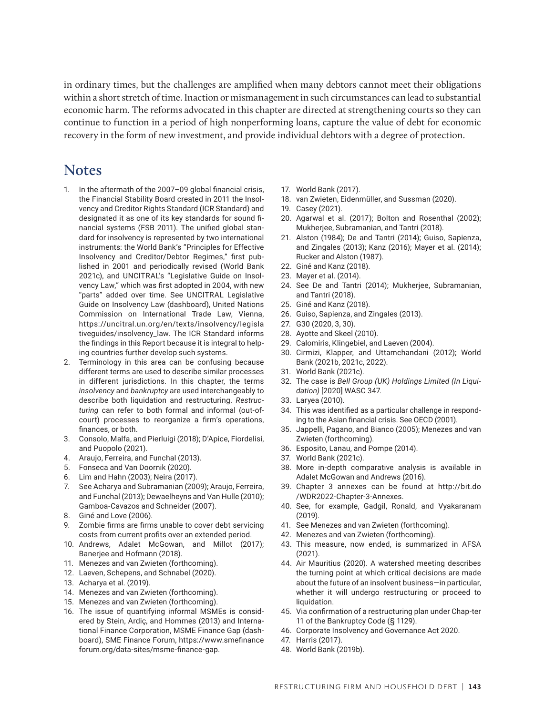in ordinary times, but the challenges are amplified when many debtors cannot meet their obligations within a short stretch of time. Inaction or mismanagement in such circumstances can lead to substantial economic harm. The reforms advocated in this chapter are directed at strengthening courts so they can continue to function in a period of high nonperforming loans, capture the value of debt for economic recovery in the form of new investment, and provide individual debtors with a degree of protection.

### **Notes**

- 1. In the aftermath of the 2007–09 global financial crisis, the Financial Stability Board created in 2011 the Insolvency and Creditor Rights Standard (ICR Standard) and designated it as one of its key standards for sound financial systems (FSB 2011). The unified global standard for insolvency is represented by two international instruments: the World Bank's "Principles for Effective Insolvency and Creditor/Debtor Regimes," first published in 2001 and periodically revised (World Bank 2021c), and UNCITRAL's "Legislative Guide on Insolvency Law," which was first adopted in 2004, with new "parts" added over time. See UNCITRAL Legislative Guide on Insolvency Law (dashboard), United Nations Commission on International Trade Law, Vienna, https://uncitral.un.org/en/texts/insolvency/legisla tiveguides/insolvency\_law. The ICR Standard informs the findings in this Report because it is integral to helping countries further develop such systems.
- 2. Terminology in this area can be confusing because different terms are used to describe similar processes in different jurisdictions. In this chapter, the terms *insolvency* and *bankruptcy* are used interchangeably to describe both liquidation and restructuring. *Restructuring* can refer to both formal and informal (out-ofcourt) processes to reorganize a firm's operations, finances, or both.
- 3. Consolo, Malfa, and Pierluigi (2018); D'Apice, Fiordelisi, and Puopolo (2021).
- 4. Araujo, Ferreira, and Funchal (2013).
- 5. Fonseca and Van Doornik (2020).
- 6. Lim and Hahn (2003); Neira (2017).
- 7. See Acharya and Subramanian (2009); Araujo, Ferreira, and Funchal (2013); Dewaelheyns and Van Hulle (2010); Gamboa-Cavazos and Schneider (2007).
- 8. Giné and Love (2006).
- 9. Zombie firms are firms unable to cover debt servicing costs from current profits over an extended period.
- 10. Andrews, Adalet McGowan, and Millot (2017); Banerjee and Hofmann (2018).
- 11. Menezes and van Zwieten (forthcoming).
- 12. Laeven, Schepens, and Schnabel (2020).
- 13. Acharya et al. (2019).
- 14. Menezes and van Zwieten (forthcoming).
- 15. Menezes and van Zwieten (forthcoming).
- 16. The issue of quantifying informal MSMEs is considered by Stein, Ardiç, and Hommes (2013) and International Finance Corporation, MSME Finance Gap (dashboard), SME Finance Forum, https://www.smefinance forum.org/data-sites/msme-finance-gap.
- 17. World Bank (2017).
- 18. van Zwieten, Eidenmüller, and Sussman (2020).
- 19. Casey (2021).
- 20. [Agarwal et al. \(2017](https://www.journals.uchicago.edu/doi/full/10.1086/691701)); Bolton and Rosenthal (2002); Mukherjee, Subramanian, and Tantri (2018).
- 21. Alston (1984); De and Tantri (2014); Guiso, Sapienza, and Zingales (2013); Kanz (2016); Mayer et al. (2014); Rucker and Alston (1987).
- 22. Giné and Kanz (2018).
- 23. Mayer et al. (2014).
- 24. See De and Tantri (2014); Mukherjee, Subramanian, and Tantri (2018).
- 25. Giné and Kanz (2018).
- 26. [Guiso, Sapienza, and Zingales \(2013](https://onlinelibrary-wiley-com.libproxy-wb.imf.org/doi/full/10.1111/jofi.12044)).
- 27. G30 (2020, 3, 30).
- 28. Ayotte and Skeel (2010).
- 29. Calomiris, Klingebiel, and Laeven (2004).
- 30. Cirmizi, Klapper, and Uttamchandani (2012); World Bank (2021b, 2021c, 2022).
- 31. World Bank (2021c).
- 32. The case is *Bell Group (UK) Holdings Limited (In Liquidation)* [2020] WASC 347.
- 33. Laryea (2010).
- 34. This was identified as a particular challenge in responding to the Asian financial crisis. See OECD (2001).
- 35. Jappelli, Pagano, and Bianco (2005); Menezes and van Zwieten (forthcoming).
- 36. Esposito, Lanau, and Pompe (2014).
- 37. World Bank (2021c).
- 38. More in-depth comparative analysis is available in Adalet McGowan and Andrews (2016).
- 39. Chapter 3 annexes can be found at http://bit.do /WDR2022-Chapter-3-Annexes.
- 40. See, for example, Gadgil, Ronald, and Vyakaranam (2019).
- 41. See Menezes and van Zwieten (forthcoming).
- 42. Menezes and van Zwieten (forthcoming).
- 43. This measure, now ended, is summarized in AFSA (2021).
- 44. Air Mauritius (2020). A watershed meeting describes the turning point at which critical decisions are made about the future of an insolvent business—in particular, whether it will undergo restructuring or proceed to liquidation.
- 45. Via confirmation of a restructuring plan under Chap-ter 11 of the Bankruptcy Code (§ 1129).
- 46. Corporate Insolvency and Governance Act 2020.
- 47. Harris (2017).
- 48. World Bank (2019b).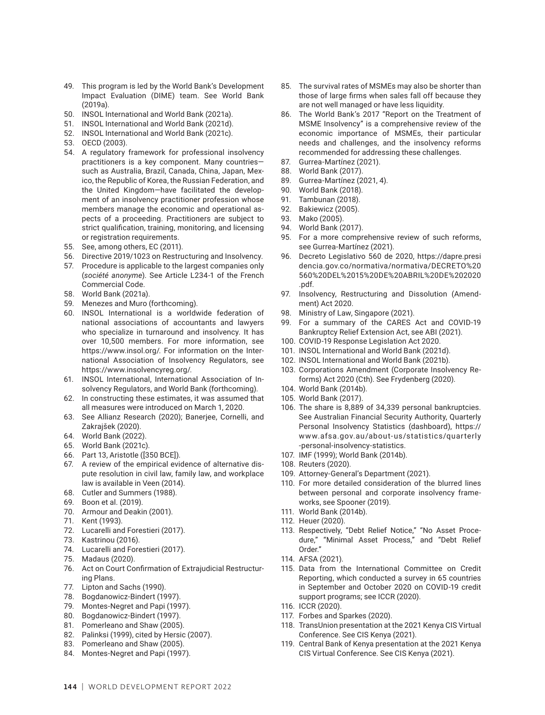- 49. This program is led by the World Bank's Development Impact Evaluation (DIME) team. See World Bank (2019a).
- 50. INSOL International and World Bank (2021a).
- 51. INSOL International and World Bank (2021d).
- 52. INSOL International and World Bank (2021c).
- 53. OECD (2003).
- 54. A regulatory framework for professional insolvency practitioners is a key component. Many countries such as Australia, Brazil, Canada, China, Japan, Mexico, the Republic of Korea, the Russian Federation, and the United Kingdom—have facilitated the development of an insolvency practitioner profession whose members manage the economic and operational aspects of a proceeding. Practitioners are subject to strict qualification, training, monitoring, and licensing or registration requirements.
- 55. See, among others, EC (2011).
- 56. Directive 2019/1023 on Restructuring and Insolvency.
- 57. Procedure is applicable to the largest companies only (*société anonyme*). See Article L234-1 of the French Commercial Code.
- 58. World Bank (2021a).
- 59. Menezes and Muro (forthcoming).
- 60. INSOL International is a worldwide federation of national associations of accountants and lawyers who specialize in turnaround and insolvency. It has over 10,500 members. For more information, see <https://www.insol.org/>. For information on the International Association of Insolvency Regulators, see https://www.insolvencyreg.org/.
- 61. INSOL International, International Association of Insolvency Regulators, and World Bank (forthcoming).
- 62. In constructing these estimates, it was assumed that all measures were introduced on March 1, 2020.
- 63. See Allianz Research (2020); Banerjee, Cornelli, and Zakrajšek (2020).
- 64. World Bank (2022).
- 65. World Bank (2021c).
- 66. Part 13, Aristotle ([350 BCE])*.*
- 67. A review of the empirical evidence of alternative dispute resolution in civil law, family law, and workplace law is available in Veen (2014).
- 68. Cutler and Summers (1988).
- 69. Boon et al. (2019).
- 70. Armour and Deakin (2001).
- 71. Kent (1993).
- 72. Lucarelli and Forestieri (2017).
- 73. Kastrinou (2016).
- 74. Lucarelli and Forestieri (2017).
- 75. Madaus (2020).
- 76. Act on Court Confirmation of Extrajudicial Restructuring Plans.
- 77. Lipton and Sachs (1990).
- 78. Bogdanowicz-Bindert (1997).
- 79. Montes-Negret and Papi (1997).
- 80. Bogdanowicz-Bindert (1997).
- 81. Pomerleano and Shaw (2005).
- 82. Palinksi (1999), cited by Hersic (2007).
- 83. Pomerleano and Shaw (2005).
- 84. Montes-Negret and Papi (1997).
- 85. The survival rates of MSMEs may also be shorter than those of large firms when sales fall off because they are not well managed or have less liquidity.
- 86. The World Bank's 2017 "Report on the Treatment of MSME Insolvency" is a comprehensive review of the economic importance of MSMEs, their particular needs and challenges, and the insolvency reforms recommended for addressing these challenges.
- 87. Gurrea-Martínez (2021).
- 88. World Bank (2017).
- 89. Gurrea-Martínez (2021, 4).
- 90. World Bank (2018).
- 91. Tambunan (2018).
- 92. Bakiewicz (2005).
- 93. Mako (2005).
- 94. World Bank (2017).
- 95. For a more comprehensive review of such reforms, see Gurrea-Martínez (2021).
- 96. Decreto Legislativo 560 de 2020, https://dapre.presi dencia.gov.co/normativa/normativa/DECRETO%20 560%20DEL%2015%20DE%20ABRIL%20DE%202020 .pdf.
- 97. Insolvency, Restructuring and Dissolution (Amendment) Act 2020.
- 98. Ministry of Law, Singapore (2021).
- 99. For a summary of the CARES Act and COVID-19 Bankruptcy Relief Extension Act, see ABI (2021).
- 100. COVID-19 Response Legislation Act 2020.
- 101. INSOL International and World Bank (2021d).
- 102. INSOL International and World Bank (2021b).
- 103. Corporations Amendment (Corporate Insolvency Reforms) Act 2020 (Cth). See Frydenberg (2020).
- 104. World Bank (2014b).
- 105. World Bank (2017).
- 106. The share is 8,889 of 34,339 personal bankruptcies. See Australian Financial Security Authority, Quarterly Personal Insolvency Statistics (dashboard), https:// www.afsa.gov.au/about-us/statistics/quarterly -personal-insolvency-statistics.
- 107. IMF (1999); World Bank (2014b).
- 108. Reuters (2020).
- 109. Attorney-General's Department (2021).
- 110. For more detailed consideration of the blurred lines between personal and corporate insolvency frameworks, see Spooner (2019).
- 111. World Bank (2014b).
- 112. Heuer (2020).
- 113. Respectively, "Debt Relief Notice," "No Asset Procedure," "Minimal Asset Process," and "Debt Relief Order."
- 114. AFSA (2021).
- 115. Data from the International Committee on Credit Reporting, which conducted a survey in 65 countries in September and October 2020 on COVID-19 credit support programs; see ICCR (2020).
- 116. ICCR (2020).
- 117. Forbes and Sparkes (2020).
- 118. TransUnion presentation at the 2021 Kenya CIS Virtual Conference. See CIS Kenya (2021).
- 119. Central Bank of Kenya presentation at the 2021 Kenya CIS Virtual Conference. See CIS Kenya (2021).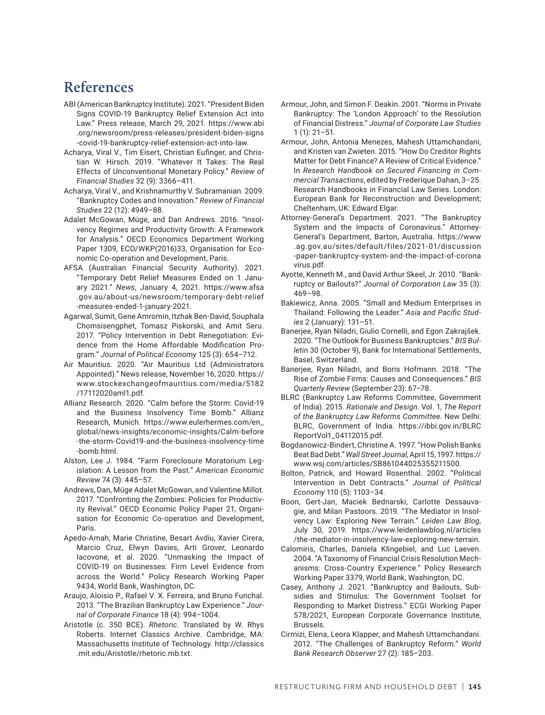# **References**

- ABI (American Bankruptcy Institute). 2021. "President Biden Signs COVID-19 Bankruptcy Relief Extension Act into Law." Press release, March 29, 2021. [https://www.abi](https://www.abi.org/newsroom/press-releases/president-biden-signs-covid-19-bankruptcy-relief-extension-act-into-law) [.org/newsroom/press-releases/president-biden-signs](https://www.abi.org/newsroom/press-releases/president-biden-signs-covid-19-bankruptcy-relief-extension-act-into-law) [-covid-19-bankruptcy-relief-extension-act-into-law](https://www.abi.org/newsroom/press-releases/president-biden-signs-covid-19-bankruptcy-relief-extension-act-into-law).
- Acharya, Viral V., Tim Eisert, Christian Eufinger, and Christian W. Hirsch. 2019. "Whatever It Takes: The Real Effects of Unconventional Monetary Policy." *Review of Financial Studies* 32 (9): 3366–411.
- Acharya, Viral V., and Krishnamurthy V. Subramanian. 2009. "Bankruptcy Codes and Innovation." *Review of Financial Studies* 22 (12): 4949–88.
- Adalet McGowan, Müge, and Dan Andrews. 2016. "Insolvency Regimes and Productivity Growth: A Framework for Analysis." OECD Economics Department Working Paper 1309, ECO/WKP(2016)33, Organisation for Economic Co-operation and Development, Paris.
- AFSA (Australian Financial Security Authority). 2021. "Temporary Debt Relief Measures Ended on 1 January 2021." *News*, January 4, 2021. [https://www.afsa](https://www.afsa.gov.au/about-us/newsroom/temporary-debt-relief-measures-ended-1-january-2021) [.gov.au/about-us/newsroom/temporary-debt-relief](https://www.afsa.gov.au/about-us/newsroom/temporary-debt-relief-measures-ended-1-january-2021) [-measures-ended-1-january-2021](https://www.afsa.gov.au/about-us/newsroom/temporary-debt-relief-measures-ended-1-january-2021).
- Agarwal, Sumit, Gene Amromin, Itzhak Ben-David, Souphala Chomsisengphet, Tomasz Piskorski, and Amit Seru. 2017. "Policy Intervention in Debt Renegotiation: Evidence from the Home Affordable Modification Program." *Journal of Political Economy* 125 (3): 654–712.
- Air Mauritius. 2020. "Air Mauritius Ltd (Administrators Appointed)." News release, November 16, 2020. https:// www.stockexchangeofmauritius.com/media/5182 /17112020aml1.pdf.
- Allianz Research. 2020. "Calm before the Storm: Covid-19 and the Business Insolvency Time Bomb." Allianz Research, Munich. https://www.eulerhermes.com/en\_ global/news-insights/economic-insights/Calm-before -the-storm-Covid19-and-the-business-insolvency-time -bomb.html.
- Alston, Lee J. 1984. "Farm Foreclosure Moratorium Legislation: A Lesson from the Past." *American Economic Review* 74 (3): 445–57.
- Andrews, Dan, Müge Adalet McGowan, and Valentine Millot. 2017. "Confronting the Zombies: Policies for Productivity Revival." OECD Economic Policy Paper 21, Organisation for Economic Co-operation and Development, Paris.
- Apedo-Amah, Marie Christine, Besart Avdiu, Xavier Cirera, Marcio Cruz, Elwyn Davies, Arti Grover, Leonardo Iacovone, et al. 2020. "Unmasking the Impact of COVID-19 on Businesses: Firm Level Evidence from across the World." Policy Research Working Paper 9434, World Bank, Washington, DC.
- Araujo, Aloisio P., Rafael V. X. Ferreira, and Bruno Funchal. 2013. "The Brazilian Bankruptcy Law Experience." *Journal of Corporate Finance* 18 (4): 994–1004.
- Aristotle (c. 350 BCE). *Rhetoric*. Translated by W. Rhys Roberts. Internet Classics Archive. Cambridge, MA: Massachusetts Institute of Technology. http://classics .mit.edu/Aristotle/rhetoric.mb.txt.
- Armour, John, and Simon F. Deakin. 2001. "Norms in Private Bankruptcy: The 'London Approach' to the Resolution of Financial Distress." *Journal of Corporate Law Studies* 1 (1): 21–51.
- Armour, John, Antonia Menezes, Mahesh Uttamchandani, and Kristen van Zwieten. 2015. "How Do Creditor Rights Matter for Debt Finance? A Review of Critical Evidence." In *Research Handbook on Secured Financing in Commercial Transactions*, edited by Frederique Dahan, 3–25. Research Handbooks in Financial Law Series. London: European Bank for Reconstruction and Development; Cheltenham, UK: Edward Elgar.
- Attorney-General's Department. 2021. "The Bankruptcy System and the Impacts of Coronavirus." Attorney-General's Department, Barton, Australia. https://www .ag.gov.au/sites/default/files/2021-01/discussion -paper-bankruptcy-system-and-the-impact-of-corona virus.pdf.
- Ayotte, Kenneth M., and David Arthur Skeel, Jr. 2010. "Bankruptcy or Bailouts?" *Journal of Corporation Law* 35 (3): 469–98.
- Bakiewicz, Anna. 2005. "Small and Medium Enterprises in Thailand: Following the Leader." *Asia and Pacific Studies* 2 (January): 131–51.
- Banerjee, Ryan Niladri, Giulio Cornelli, and Egon Zakrajšek. 2020. "The Outlook for Business Bankruptcies." *BIS Bulletin* 30 (October 9), Bank for International Settlements, Basel, Switzerland.
- Banerjee, Ryan Niladri, and Boris Hofmann. 2018. "The Rise of Zombie Firms: Causes and Consequences." *BIS Quarterly Review* (September 23): 67–78.
- BLRC (Bankruptcy Law Reforms Committee, Government of India). 2015. *Rationale and Design*. Vol. 1, *The Report of the Bankruptcy Law Reforms Committee*. New Delhi: BLRC, Government of India. https://ibbi.gov.in/BLRC ReportVol1\_04112015.pdf.
- Bogdanowicz-Bindert, Christine A. 1997. "How Polish Banks Beat Bad Debt." *Wall Street Journal*, April 15, 1997. https:// www.wsj.com/articles/SB861044025355211500.
- Bolton, Patrick, and Howard Rosenthal. 2002. "Political Intervention in Debt Contracts." *Journal of Political Economy* 110 (5): 1103–34.
- Boon, Gert-Jan, Maciek Bednarski, Carlotte Dessauvagie, and Milan Pastoors. 2019. "The Mediator in Insolvency Law: Exploring New Terrain." *Leiden Law Blog*, July 30, 2019. https://www.leidenlawblog.nl/articles /the-mediator-in-insolvency-law-exploring-new-terrain.
- Calomiris, Charles, Daniela Klingebiel, and Luc Laeven. 2004. "A Taxonomy of Financial Crisis Resolution Mechanisms: Cross-Country Experience." Policy Research Working Paper 3379, World Bank, Washington, DC.
- Casey, Anthony J. 2021. "Bankruptcy and Bailouts, Subsidies and Stimulus: The Government Toolset for Responding to Market Distress." ECGI Working Paper 578/2021, European Corporate Governance Institute, Brussels.
- Cirmizi, Elena, Leora Klapper, and Mahesh Uttamchandani. 2012. "The Challenges of Bankruptcy Reform." *World Bank Research Observer* 27 (2): 185–203.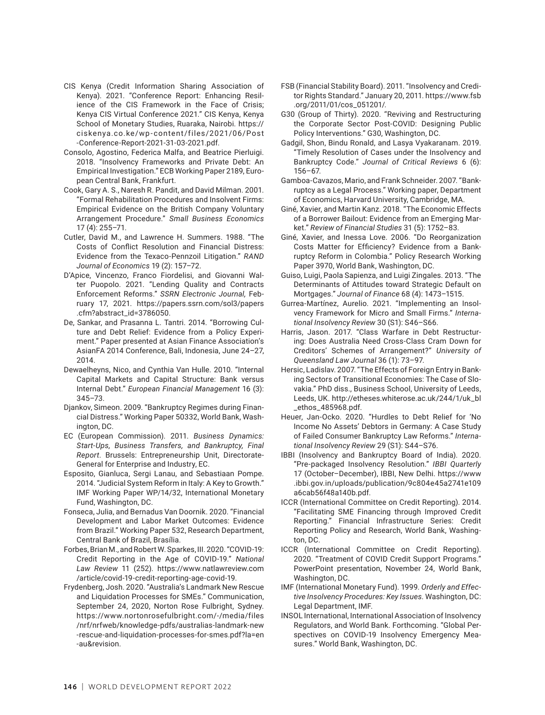- CIS Kenya (Credit Information Sharing Association of Kenya). 2021. "Conference Report: Enhancing Resilience of the CIS Framework in the Face of Crisis; Kenya CIS Virtual Conference 2021." CIS Kenya, Kenya School of Monetary Studies, Ruaraka, Nairobi. https:// ciskenya.co.ke/wp-content/files/2021/06/Post -Conference-Report-2021-31-03-2021.pdf.
- Consolo, Agostino, Federica Malfa, and Beatrice Pierluigi. 2018. "Insolvency Frameworks and Private Debt: An Empirical Investigation." ECB Working Paper 2189, European Central Bank, Frankfurt.
- Cook, Gary A. S., Naresh R. Pandit, and David Milman. 2001. "Formal Rehabilitation Procedures and Insolvent Firms: Empirical Evidence on the British Company Voluntary Arrangement Procedure." *Small Business Economics* 17 (4): 255–71.
- Cutler, David M., and Lawrence H. Summers. 1988. "The Costs of Conflict Resolution and Financial Distress: Evidence from the Texaco-Pennzoil Litigation." *RAND Journal of Economics* 19 (2): 157–72.
- D'Apice, Vincenzo, Franco Fiordelisi, and Giovanni Walter Puopolo. 2021. "Lending Quality and Contracts Enforcement Reforms." *SSRN Electronic Journal,* February 17, 2021. [https://papers.ssrn.com/sol3/papers](https://papers.ssrn.com/sol3/papers.cfm?abstract_id=3786050) [.cfm?abstract\\_id=3786050](https://papers.ssrn.com/sol3/papers.cfm?abstract_id=3786050).
- De, Sankar, and Prasanna L. Tantri. 2014. "Borrowing Culture and Debt Relief: Evidence from a Policy Experiment." Paper presented at Asian Finance Association's AsianFA 2014 Conference, Bali, Indonesia, June 24–27, 2014.
- Dewaelheyns, Nico, and Cynthia Van Hulle. 2010. "Internal Capital Markets and Capital Structure: Bank versus Internal Debt." *European Financial Management* 16 (3): 345–73.
- Djankov, Simeon. 2009. "Bankruptcy Regimes during Financial Distress." Working Paper 50332, World Bank, Washington, DC.
- EC (European Commission). 2011. *Business Dynamics: Start‐Ups, Business Transfers, and Bankruptcy, Final Report*. Brussels: Entrepreneurship Unit, Directorate-General for Enterprise and Industry, EC.
- Esposito, Gianluca, Sergi Lanau, and Sebastiaan Pompe. 2014. "Judicial System Reform in Italy: A Key to Growth." IMF Working Paper WP/14/32, International Monetary Fund, Washington, DC.
- Fonseca, Julia, and Bernadus Van Doornik. 2020. "Financial Development and Labor Market Outcomes: Evidence from Brazil." Working Paper 532, Research Department, Central Bank of Brazil, Brasília.
- Forbes, Brian M., and Robert W. Sparkes, III. 2020. "COVID-19: Credit Reporting in the Age of COVID-19." *National Law Review* 11 (252). [https://www.natlawreview.com](https://www.natlawreview.com/article/covid-19-credit-reporting-age-covid-19) [/article/covid-19-credit-reporting-age-covid-19](https://www.natlawreview.com/article/covid-19-credit-reporting-age-covid-19).
- Frydenberg, Josh. 2020. "Australia's Landmark New Rescue and Liquidation Processes for SMEs." Communication, September 24, 2020, Norton Rose Fulbright, Sydney. https://www.nortonrosefulbright.com/-/media/files /nrf/nrfweb/knowledge-pdfs/australias-landmark-new -rescue-and-liquidation-processes-for-smes.pdf?la=en -au&revision.
- FSB (Financial Stability Board). 2011. "Insolvency and Creditor Rights Standard." January 20, 2011. https://www.fsb .org/2011/01/cos\_051201/.
- G30 (Group of Thirty). 2020. "Reviving and Restructuring the Corporate Sector Post-COVID: Designing Public Policy Interventions." G30, Washington, DC.
- Gadgil, Shon, Bindu Ronald, and Lasya Vyakaranam. 2019. "Timely Resolution of Cases under the Insolvency and Bankruptcy Code." *Journal of Critical Reviews* 6 (6): 156–67.
- Gamboa-Cavazos, Mario, and Frank Schneider. 2007. "Bankruptcy as a Legal Process." Working paper, Department of Economics, Harvard University, Cambridge, MA.
- Giné, Xavier, and Martin Kanz. 2018. "The Economic Effects of a Borrower Bailout: Evidence from an Emerging Market." *Review of Financial Studies* 31 (5): 1752–83.
- Giné, Xavier, and Inessa Love. 2006. "Do Reorganization Costs Matter for Efficiency? Evidence from a Bankruptcy Reform in Colombia." Policy Research Working Paper 3970, World Bank, Washington, DC.
- Guiso, Luigi, Paola Sapienza, and Luigi Zingales. 2013. "The Determinants of Attitudes toward Strategic Default on Mortgages." *Journal of Finance* 68 (4): 1473–1515.
- Gurrea-Martínez, Aurelio. 2021. "Implementing an Insolvency Framework for Micro and Small Firms." *International Insolvency Review* 30 (S1): S46–S66.
- Harris, Jason. 2017. "Class Warfare in Debt Restructuring: Does Australia Need Cross-Class Cram Down for Creditors' Schemes of Arrangement?" *University of Queensland Law Journal* 36 (1): 73–97.
- Hersic, Ladislav. 2007. "The Effects of Foreign Entry in Banking Sectors of Transitional Economies: The Case of Slovakia." PhD diss., Business School, University of Leeds, Leeds, UK. http://etheses.whiterose.ac.uk/244/1/uk\_bl \_ethos\_485968.pdf.
- Heuer, Jan-Ocko. 2020. "Hurdles to Debt Relief for 'No Income No Assets' Debtors in Germany: A Case Study of Failed Consumer Bankruptcy Law Reforms." *International Insolvency Review* 29 (S1): S44–S76.
- IBBI (Insolvency and Bankruptcy Board of India). 2020. "Pre-packaged Insolvency Resolution." *IBBI Quarterly* 17 (October–December), IBBI, New Delhi. [https://www](https://www.ibbi.gov.in/uploads/publication/9c804e45a2741e109a6cab56f48a140b.pdf) [.ibbi.gov.in/uploads/publication/9c804e45a2741e109](https://www.ibbi.gov.in/uploads/publication/9c804e45a2741e109a6cab56f48a140b.pdf) [a6cab56f48a140b.pdf.](https://www.ibbi.gov.in/uploads/publication/9c804e45a2741e109a6cab56f48a140b.pdf)
- ICCR (International Committee on Credit Reporting). 2014. "Facilitating SME Financing through Improved Credit Reporting." Financial Infrastructure Series: Credit Reporting Policy and Research, World Bank, Washington, DC.
- ICCR (International Committee on Credit Reporting). 2020. "Treatment of COVID Credit Support Programs." PowerPoint presentation, November 24, World Bank, Washington, DC.
- IMF (International Monetary Fund). 1999. *Orderly and Effective Insolvency Procedures: Key Issues*. Washington, DC: Legal Department, IMF.
- INSOL International, International Association of Insolvency Regulators, and World Bank. Forthcoming. "Global Perspectives on COVID-19 Insolvency Emergency Measures." World Bank, Washington, DC.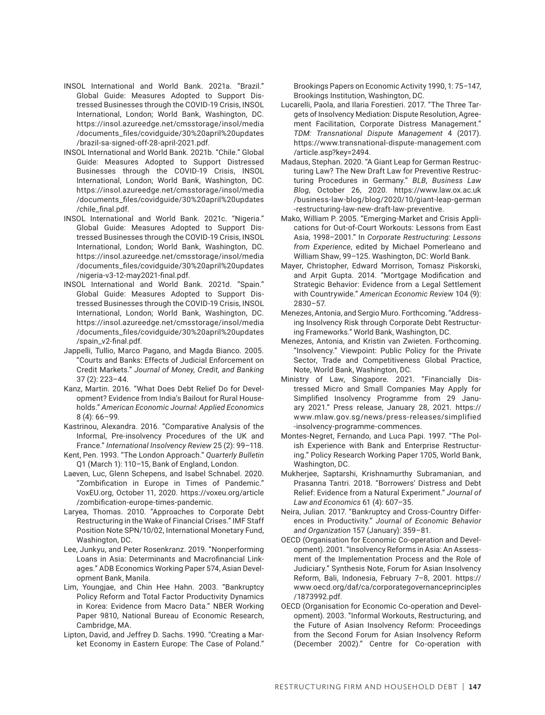- INSOL International and World Bank. 2021a. "Brazil." Global Guide: Measures Adopted to Support Distressed Businesses through the COVID-19 Crisis, INSOL International, London; World Bank, Washington, DC. https://insol.azureedge.net/cmsstorage/insol/media /documents\_files/covidguide/30%20april%20updates /brazil-sa-signed-off-28-april-2021.pdf.
- INSOL International and World Bank. 2021b. "Chile." Global Guide: Measures Adopted to Support Distressed Businesses through the COVID-19 Crisis, INSOL International, London; World Bank, Washington, DC. https://insol.azureedge.net/cmsstorage/insol/media /documents\_files/covidguide/30%20april%20updates /chile\_final.pdf.
- INSOL International and World Bank. 2021c. "Nigeria." Global Guide: Measures Adopted to Support Distressed Businesses through the COVID-19 Crisis, INSOL International, London; World Bank, Washington, DC. https://insol.azureedge.net/cmsstorage/insol/media /documents\_files/covidguide/30%20april%20updates /nigeria-v3-12-may2021-final.pdf.
- INSOL International and World Bank. 2021d. "Spain." Global Guide: Measures Adopted to Support Distressed Businesses through the COVID-19 Crisis, INSOL International, London; World Bank, Washington, DC. https://insol.azureedge.net/cmsstorage/insol/media /documents\_files/covidguide/30%20april%20updates /spain\_v2-final.pdf.
- Jappelli, Tullio, Marco Pagano, and Magda Bianco. 2005. "Courts and Banks: Effects of Judicial Enforcement on Credit Markets." *Journal of Money, Credit, and Banking* 37 (2): 223–44.
- Kanz, Martin. 2016. "What Does Debt Relief Do for Development? Evidence from India's Bailout for Rural Households." *American Economic Journal: Applied Economics* 8 (4): 66–99.
- Kastrinou, Alexandra. 2016. "Comparative Analysis of the Informal, Pre-insolvency Procedures of the UK and France." *International Insolvency Review* 25 (2): 99–118.
- Kent, Pen. 1993. "The London Approach." *Quarterly Bulletin* Q1 (March 1): 110–15, Bank of England, London.
- Laeven, Luc, Glenn Schepens, and Isabel Schnabel. 2020. "Zombification in Europe in Times of Pandemic." VoxEU.org, October 11, 2020. https://voxeu.org/article /zombification-europe-times-pandemic.
- Laryea, Thomas. 2010. "Approaches to Corporate Debt Restructuring in the Wake of Financial Crises." IMF Staff Position Note SPN/10/02, International Monetary Fund, Washington, DC.
- Lee, Junkyu, and Peter Rosenkranz. 2019. "Nonperforming Loans in Asia: Determinants and Macrofinancial Linkages." ADB Economics Working Paper 574, Asian Development Bank, Manila.
- Lim, Youngjae, and Chin Hee Hahn. 2003. "Bankruptcy Policy Reform and Total Factor Productivity Dynamics in Korea: Evidence from Macro Data." NBER Working Paper 9810, National Bureau of Economic Research, Cambridge, MA.
- Lipton, David, and Jeffrey D. Sachs. 1990. "Creating a Market Economy in Eastern Europe: The Case of Poland."

Brookings Papers on Economic Activity 1990, 1: 75–147, Brookings Institution, Washington, DC.

- Lucarelli, Paola, and Ilaria Forestieri. 2017. "The Three Targets of Insolvency Mediation: Dispute Resolution, Agreement Facilitation, Corporate Distress Management." *TDM: Transnational Dispute Management* 4 (2017). [https://www.transnational-dispute-management.com](https://www.transnational-dispute-management.com/article.asp?key=2494) [/article.asp?key=2494](https://www.transnational-dispute-management.com/article.asp?key=2494).
- Madaus, Stephan. 2020. "A Giant Leap for German Restructuring Law? The New Draft Law for Preventive Restructuring Procedures in Germany." *BLB, Business Law Blog*, October 26, 2020. https://www.law.ox.ac.uk /business-law-blog/blog/2020/10/giant-leap-german -restructuring-law-new-draft-law-preventive.
- Mako, William P. 2005. "Emerging-Market and Crisis Applications for Out-of-Court Workouts: Lessons from East Asia, 1998–2001." In *Corporate Restructuring: Lessons from Experience*, edited by Michael Pomerleano and William Shaw, 99–125. Washington, DC: World Bank.
- Mayer, Christopher, Edward Morrison, Tomasz Piskorski, and Arpit Gupta. 2014. "Mortgage Modification and Strategic Behavior: Evidence from a Legal Settlement with Countrywide." *American Economic Review* 104 (9): 2830–57.
- Menezes, Antonia, and Sergio Muro. Forthcoming. "Addressing Insolvency Risk through Corporate Debt Restructuring Frameworks." World Bank, Washington, DC.
- Menezes, Antonia, and Kristin van Zwieten. Forthcoming. "Insolvency." Viewpoint: Public Policy for the Private Sector, Trade and Competitiveness Global Practice, Note, World Bank, Washington, DC.
- Ministry of Law, Singapore. 2021. "Financially Distressed Micro and Small Companies May Apply for Simplified Insolvency Programme from 29 January 2021." Press release, January 28, 2021. https:// www.mlaw.gov.sg/news/press-releases/simplified -insolvency-programme-commences.
- Montes-Negret, Fernando, and Luca Papi. 1997. "The Polish Experience with Bank and Enterprise Restructuring." Policy Research Working Paper 1705, World Bank, Washington, DC.
- Mukherjee, Saptarshi, Krishnamurthy Subramanian, and Prasanna Tantri. 2018. "Borrowers' Distress and Debt Relief: Evidence from a Natural Experiment." *Journal of Law and Economics* 61 (4): 607–35.
- Neira, Julian. 2017. "Bankruptcy and Cross-Country Differences in Productivity." *Journal of Economic Behavior and Organization* 157 (January): 359–81.
- OECD (Organisation for Economic Co-operation and Development). 2001. "Insolvency Reforms in Asia: An Assessment of the Implementation Process and the Role of Judiciary." Synthesis Note, Forum for Asian Insolvency Reform, Bali, Indonesia, February 7–8, 2001. [https://](https://www.oecd.org/daf/ca/corporategovernanceprinciples/1873992.pdf) [www.oecd.org/daf/ca/corporategovernanceprinciples](https://www.oecd.org/daf/ca/corporategovernanceprinciples/1873992.pdf) [/1873992.pdf](https://www.oecd.org/daf/ca/corporategovernanceprinciples/1873992.pdf).
- OECD (Organisation for Economic Co-operation and Development). 2003. "Informal Workouts, Restructuring, and the Future of Asian Insolvency Reform: Proceedings from the Second Forum for Asian Insolvency Reform (December 2002)." Centre for Co-operation with